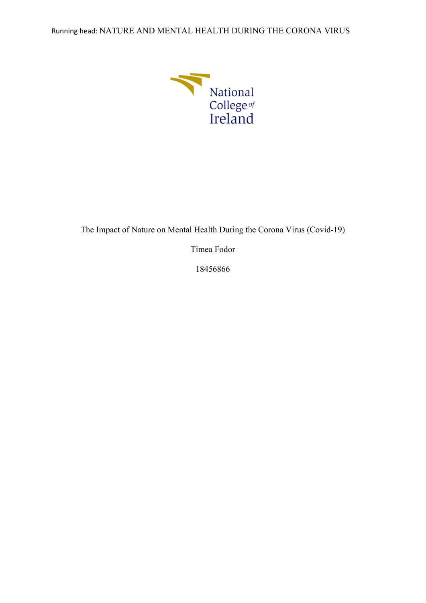Running head: NATURE AND MENTAL HEALTH DURING THE CORONA VIRUS



The Impact of Nature on Mental Health During the Corona Virus (Covid-19)

Timea Fodor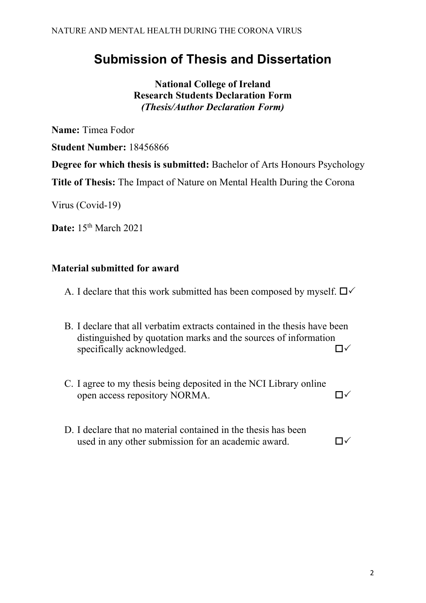# **Submission of Thesis and Dissertation**

**National College of Ireland Research Students Declaration Form** *(Thesis/Author Declaration Form)*

**Name:** Timea Fodor

**Student Number:** 18456866

**Degree for which thesis is submitted:** Bachelor of Arts Honours Psychology

**Title of Thesis:** The Impact of Nature on Mental Health During the Corona

Virus (Covid-19)

**Date:** 15<sup>th</sup> March 2021

## **Material submitted for award**

- A. I declare that this work submitted has been composed by myself.  $\Box \checkmark$
- B. I declare that all verbatim extracts contained in the thesis have been distinguished by quotation marks and the sources of information specifically acknowledged.  $\square \swarrow$
- C. I agree to my thesis being deposited in the NCI Library online open access repository NORMA.
- D. I declare that no material contained in the thesis has been used in any other submission for an academic award.  $\square \checkmark$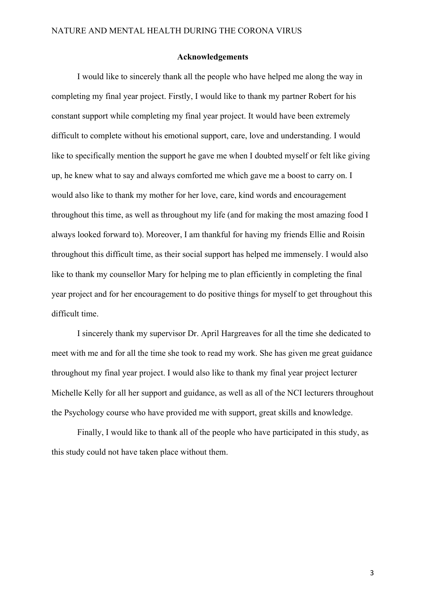#### **Acknowledgements**

I would like to sincerely thank all the people who have helped me along the way in completing my final year project. Firstly, I would like to thank my partner Robert for his constant support while completing my final year project. It would have been extremely difficult to complete without his emotional support, care, love and understanding. I would like to specifically mention the support he gave me when I doubted myself or felt like giving up, he knew what to say and always comforted me which gave me a boost to carry on. I would also like to thank my mother for her love, care, kind words and encouragement throughout this time, as well as throughout my life (and for making the most amazing food I always looked forward to). Moreover, I am thankful for having my friends Ellie and Roisin throughout this difficult time, as their social support has helped me immensely. I would also like to thank my counsellor Mary for helping me to plan efficiently in completing the final year project and for her encouragement to do positive things for myself to get throughout this difficult time.

I sincerely thank my supervisor Dr. April Hargreaves for all the time she dedicated to meet with me and for all the time she took to read my work. She has given me great guidance throughout my final year project. I would also like to thank my final year project lecturer Michelle Kelly for all her support and guidance, as well as all of the NCI lecturers throughout the Psychology course who have provided me with support, great skills and knowledge.

Finally, I would like to thank all of the people who have participated in this study, as this study could not have taken place without them.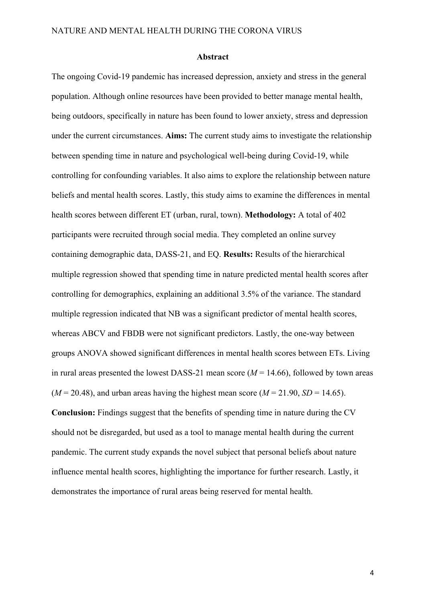#### **Abstract**

The ongoing Covid-19 pandemic has increased depression, anxiety and stress in the general population. Although online resources have been provided to better manage mental health, being outdoors, specifically in nature has been found to lower anxiety, stress and depression under the current circumstances. **Aims:** The current study aims to investigate the relationship between spending time in nature and psychological well-being during Covid-19, while controlling for confounding variables. It also aims to explore the relationship between nature beliefs and mental health scores. Lastly, this study aims to examine the differences in mental health scores between different ET (urban, rural, town). **Methodology:** A total of 402 participants were recruited through social media. They completed an online survey containing demographic data, DASS-21, and EQ. **Results:** Results of the hierarchical multiple regression showed that spending time in nature predicted mental health scores after controlling for demographics, explaining an additional 3.5% of the variance. The standard multiple regression indicated that NB was a significant predictor of mental health scores, whereas ABCV and FBDB were not significant predictors. Lastly, the one-way between groups ANOVA showed significant differences in mental health scores between ETs. Living in rural areas presented the lowest DASS-21 mean score  $(M = 14.66)$ , followed by town areas  $(M = 20.48)$ , and urban areas having the highest mean score  $(M = 21.90, SD = 14.65)$ . **Conclusion:** Findings suggest that the benefits of spending time in nature during the CV should not be disregarded, but used as a tool to manage mental health during the current pandemic. The current study expands the novel subject that personal beliefs about nature influence mental health scores, highlighting the importance for further research. Lastly, it demonstrates the importance of rural areas being reserved for mental health.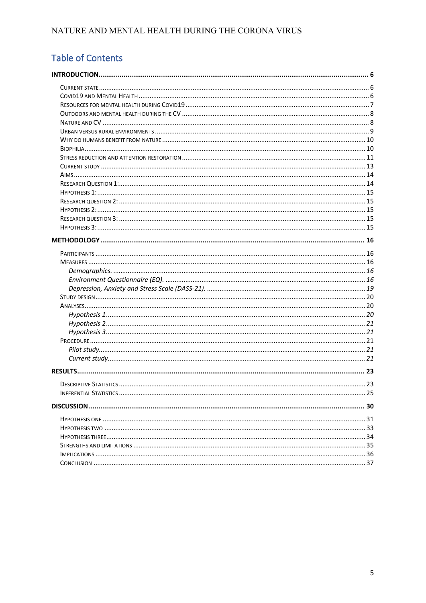# Table of Contents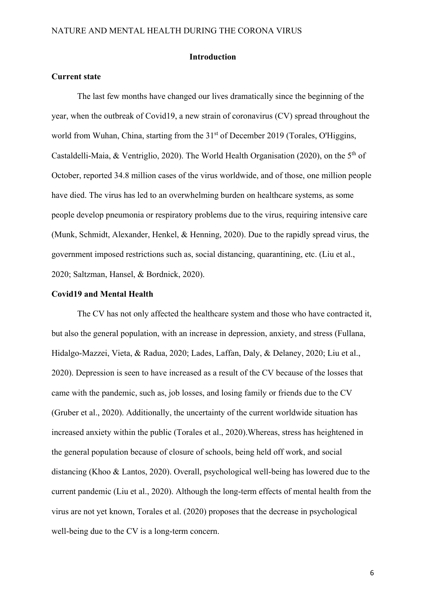#### **Introduction**

#### <span id="page-5-1"></span><span id="page-5-0"></span>**Current state**

The last few months have changed our lives dramatically since the beginning of the year, when the outbreak of Covid19, a new strain of coronavirus (CV) spread throughout the world from Wuhan, China, starting from the 31<sup>st</sup> of December 2019 (Torales, O'Higgins, Castaldelli-Maia, & Ventriglio, 2020). The World Health Organisation (2020), on the  $5<sup>th</sup>$  of October, reported 34.8 million cases of the virus worldwide, and of those, one million people have died. The virus has led to an overwhelming burden on healthcare systems, as some people develop pneumonia or respiratory problems due to the virus, requiring intensive care (Munk, Schmidt, Alexander, Henkel, & Henning, 2020). Due to the rapidly spread virus, the government imposed restrictions such as, social distancing, quarantining, etc. (Liu et al., 2020; Saltzman, Hansel, & Bordnick, 2020).

#### <span id="page-5-2"></span>**Covid19 and Mental Health**

The CV has not only affected the healthcare system and those who have contracted it, but also the general population, with an increase in depression, anxiety, and stress (Fullana, Hidalgo-Mazzei, Vieta, & Radua, 2020; Lades, Laffan, Daly, & Delaney, 2020; Liu et al., 2020). Depression is seen to have increased as a result of the CV because of the losses that came with the pandemic, such as, job losses, and losing family or friends due to the CV (Gruber et al., 2020). Additionally, the uncertainty of the current worldwide situation has increased anxiety within the public (Torales et al., 2020).Whereas, stress has heightened in the general population because of closure of schools, being held off work, and social distancing (Khoo & Lantos, 2020). Overall, psychological well-being has lowered due to the current pandemic (Liu et al., 2020). Although the long-term effects of mental health from the virus are not yet known, Torales et al. (2020) proposes that the decrease in psychological well-being due to the CV is a long-term concern.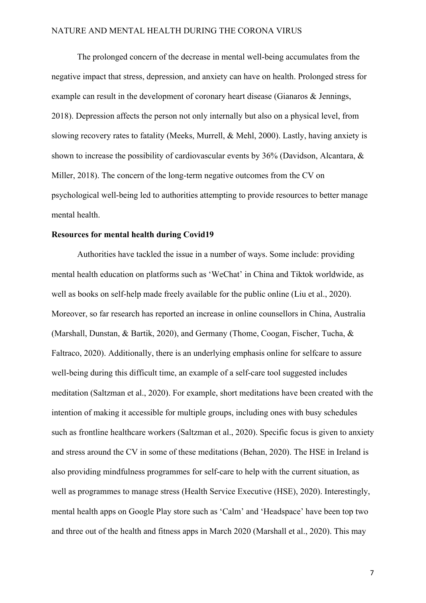The prolonged concern of the decrease in mental well-being accumulates from the negative impact that stress, depression, and anxiety can have on health. Prolonged stress for example can result in the development of coronary heart disease (Gianaros & Jennings, 2018). Depression affects the person not only internally but also on a physical level, from slowing recovery rates to fatality (Meeks, Murrell, & Mehl, 2000). Lastly, having anxiety is shown to increase the possibility of cardiovascular events by 36% (Davidson, Alcantara, & Miller, 2018). The concern of the long-term negative outcomes from the CV on psychological well-being led to authorities attempting to provide resources to better manage mental health.

#### <span id="page-6-0"></span>**Resources for mental health during Covid19**

Authorities have tackled the issue in a number of ways. Some include: providing mental health education on platforms such as 'WeChat' in China and Tiktok worldwide, as well as books on self-help made freely available for the public online (Liu et al., 2020). Moreover, so far research has reported an increase in online counsellors in China, Australia (Marshall, Dunstan, & Bartik, 2020), and Germany (Thome, Coogan, Fischer, Tucha, & Faltraco, 2020). Additionally, there is an underlying emphasis online for selfcare to assure well-being during this difficult time, an example of a self-care tool suggested includes meditation (Saltzman et al., 2020). For example, short meditations have been created with the intention of making it accessible for multiple groups, including ones with busy schedules such as frontline healthcare workers (Saltzman et al., 2020). Specific focus is given to anxiety and stress around the CV in some of these meditations (Behan, 2020). The HSE in Ireland is also providing mindfulness programmes for self-care to help with the current situation, as well as programmes to manage stress (Health Service Executive (HSE), 2020). Interestingly, mental health apps on Google Play store such as 'Calm' and 'Headspace' have been top two and three out of the health and fitness apps in March 2020 (Marshall et al., 2020). This may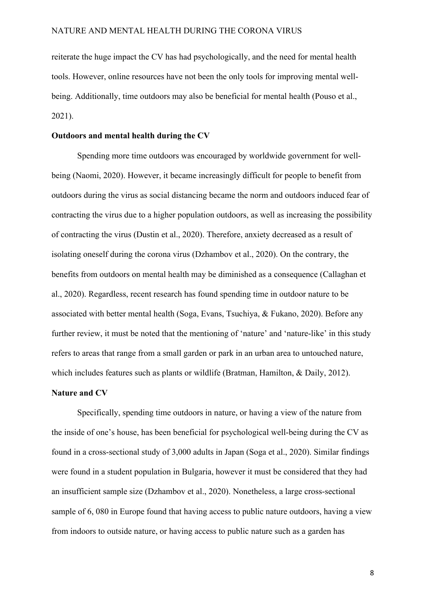reiterate the huge impact the CV has had psychologically, and the need for mental health tools. However, online resources have not been the only tools for improving mental wellbeing. Additionally, time outdoors may also be beneficial for mental health (Pouso et al., 2021).

#### <span id="page-7-0"></span>**Outdoors and mental health during the CV**

Spending more time outdoors was encouraged by worldwide government for wellbeing (Naomi, 2020). However, it became increasingly difficult for people to benefit from outdoors during the virus as social distancing became the norm and outdoors induced fear of contracting the virus due to a higher population outdoors, as well as increasing the possibility of contracting the virus (Dustin et al., 2020). Therefore, anxiety decreased as a result of isolating oneself during the corona virus (Dzhambov et al., 2020). On the contrary, the benefits from outdoors on mental health may be diminished as a consequence (Callaghan et al., 2020). Regardless, recent research has found spending time in outdoor nature to be associated with better mental health (Soga, Evans, Tsuchiya, & Fukano, 2020). Before any further review, it must be noted that the mentioning of 'nature' and 'nature-like' in this study refers to areas that range from a small garden or park in an urban area to untouched nature, which includes features such as plants or wildlife (Bratman, Hamilton, & Daily, 2012).

#### <span id="page-7-1"></span>**Nature and CV**

Specifically, spending time outdoors in nature, or having a view of the nature from the inside of one's house, has been beneficial for psychological well-being during the CV as found in a cross-sectional study of 3,000 adults in Japan (Soga et al., 2020). Similar findings were found in a student population in Bulgaria, however it must be considered that they had an insufficient sample size (Dzhambov et al., 2020). Nonetheless, a large cross-sectional sample of 6, 080 in Europe found that having access to public nature outdoors, having a view from indoors to outside nature, or having access to public nature such as a garden has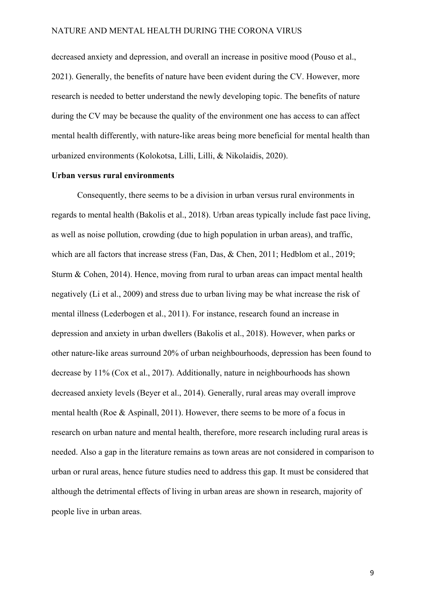decreased anxiety and depression, and overall an increase in positive mood (Pouso et al., 2021). Generally, the benefits of nature have been evident during the CV. However, more research is needed to better understand the newly developing topic. The benefits of nature during the CV may be because the quality of the environment one has access to can affect mental health differently, with nature-like areas being more beneficial for mental health than urbanized environments (Kolokotsa, Lilli, Lilli, & Nikolaidis, 2020).

#### <span id="page-8-0"></span>**Urban versus rural environments**

Consequently, there seems to be a division in urban versus rural environments in regards to mental health (Bakolis et al., 2018). Urban areas typically include fast pace living, as well as noise pollution, crowding (due to high population in urban areas), and traffic, which are all factors that increase stress (Fan, Das, & Chen, 2011; Hedblom et al., 2019; Sturm & Cohen, 2014). Hence, moving from rural to urban areas can impact mental health negatively (Li et al., 2009) and stress due to urban living may be what increase the risk of mental illness (Lederbogen et al., 2011). For instance, research found an increase in depression and anxiety in urban dwellers (Bakolis et al., 2018). However, when parks or other nature-like areas surround 20% of urban neighbourhoods, depression has been found to decrease by 11% (Cox et al., 2017). Additionally, nature in neighbourhoods has shown decreased anxiety levels (Beyer et al., 2014). Generally, rural areas may overall improve mental health (Roe & Aspinall, 2011). However, there seems to be more of a focus in research on urban nature and mental health, therefore, more research including rural areas is needed. Also a gap in the literature remains as town areas are not considered in comparison to urban or rural areas, hence future studies need to address this gap. It must be considered that although the detrimental effects of living in urban areas are shown in research, majority of people live in urban areas.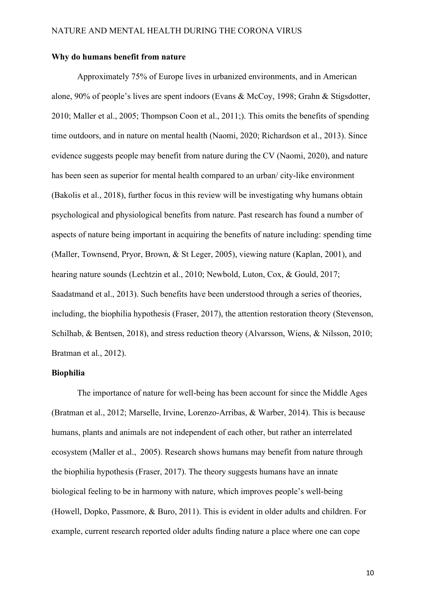#### <span id="page-9-0"></span>**Why do humans benefit from nature**

Approximately 75% of Europe lives in urbanized environments, and in American alone, 90% of people's lives are spent indoors (Evans & McCoy, 1998; Grahn & Stigsdotter, 2010; Maller et al., 2005; Thompson Coon et al., 2011;). This omits the benefits of spending time outdoors, and in nature on mental health (Naomi, 2020; Richardson et al., 2013). Since evidence suggests people may benefit from nature during the CV (Naomi, 2020), and nature has been seen as superior for mental health compared to an urban/ city-like environment (Bakolis et al., 2018), further focus in this review will be investigating why humans obtain psychological and physiological benefits from nature. Past research has found a number of aspects of nature being important in acquiring the benefits of nature including: spending time (Maller, Townsend, Pryor, Brown, & St Leger, 2005), viewing nature (Kaplan, 2001), and hearing nature sounds (Lechtzin et al., 2010; Newbold, Luton, Cox, & Gould, 2017; Saadatmand et al., 2013). Such benefits have been understood through a series of theories, including, the biophilia hypothesis (Fraser, 2017), the attention restoration theory (Stevenson, Schilhab, & Bentsen, 2018), and stress reduction theory (Alvarsson, Wiens, & Nilsson, 2010; Bratman et al., 2012).

#### <span id="page-9-1"></span>**Biophilia**

The importance of nature for well-being has been account for since the Middle Ages (Bratman et al., 2012; Marselle, Irvine, Lorenzo-Arribas, & Warber, 2014). This is because humans, plants and animals are not independent of each other, but rather an interrelated ecosystem (Maller et al., 2005). Research shows humans may benefit from nature through the biophilia hypothesis (Fraser, 2017). The theory suggests humans have an innate biological feeling to be in harmony with nature, which improves people's well-being (Howell, Dopko, Passmore, & Buro, 2011). This is evident in older adults and children. For example, current research reported older adults finding nature a place where one can cope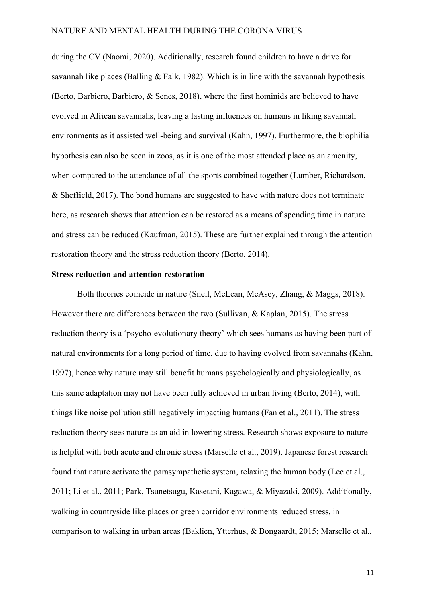during the CV (Naomi, 2020). Additionally, research found children to have a drive for savannah like places (Balling & Falk, 1982). Which is in line with the savannah hypothesis (Berto, Barbiero, Barbiero, & Senes, 2018), where the first hominids are believed to have evolved in African savannahs, leaving a lasting influences on humans in liking savannah environments as it assisted well-being and survival (Kahn, 1997). Furthermore, the biophilia hypothesis can also be seen in zoos, as it is one of the most attended place as an amenity, when compared to the attendance of all the sports combined together (Lumber, Richardson, & Sheffield, 2017). The bond humans are suggested to have with nature does not terminate here, as research shows that attention can be restored as a means of spending time in nature and stress can be reduced (Kaufman, 2015). These are further explained through the attention restoration theory and the stress reduction theory (Berto, 2014).

#### <span id="page-10-0"></span>**Stress reduction and attention restoration**

Both theories coincide in nature (Snell, McLean, McAsey, Zhang, & Maggs, 2018). However there are differences between the two (Sullivan, & Kaplan, 2015). The stress reduction theory is a 'psycho-evolutionary theory' which sees humans as having been part of natural environments for a long period of time, due to having evolved from savannahs (Kahn, 1997), hence why nature may still benefit humans psychologically and physiologically, as this same adaptation may not have been fully achieved in urban living (Berto, 2014), with things like noise pollution still negatively impacting humans (Fan et al., 2011). The stress reduction theory sees nature as an aid in lowering stress. Research shows exposure to nature is helpful with both acute and chronic stress (Marselle et al., 2019). Japanese forest research found that nature activate the parasympathetic system, relaxing the human body (Lee et al., 2011; Li et al., 2011; Park, Tsunetsugu, Kasetani, Kagawa, & Miyazaki, 2009). Additionally, walking in countryside like places or green corridor environments reduced stress, in comparison to walking in urban areas (Baklien, Ytterhus, & Bongaardt, 2015; Marselle et al.,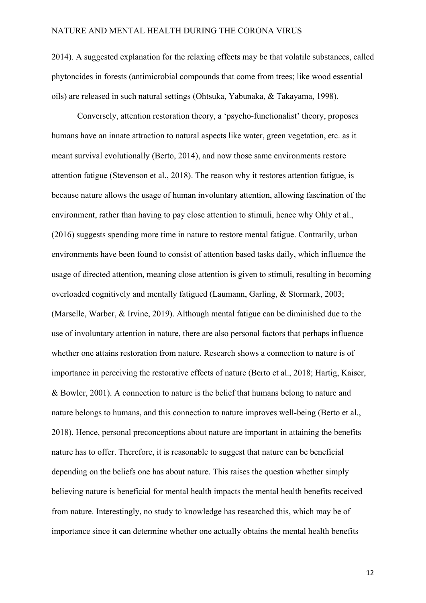2014). A suggested explanation for the relaxing effects may be that volatile substances, called phytoncides in forests (antimicrobial compounds that come from trees; like wood essential oils) are released in such natural settings (Ohtsuka, Yabunaka, & Takayama, 1998).

Conversely, attention restoration theory, a 'psycho-functionalist' theory, proposes humans have an innate attraction to natural aspects like water, green vegetation, etc. as it meant survival evolutionally (Berto, 2014), and now those same environments restore attention fatigue (Stevenson et al., 2018). The reason why it restores attention fatigue, is because nature allows the usage of human involuntary attention, allowing fascination of the environment, rather than having to pay close attention to stimuli, hence why Ohly et al., (2016) suggests spending more time in nature to restore mental fatigue. Contrarily, urban environments have been found to consist of attention based tasks daily, which influence the usage of directed attention, meaning close attention is given to stimuli, resulting in becoming overloaded cognitively and mentally fatigued (Laumann, Garling, & Stormark, 2003; (Marselle, Warber, & Irvine, 2019). Although mental fatigue can be diminished due to the use of involuntary attention in nature, there are also personal factors that perhaps influence whether one attains restoration from nature. Research shows a connection to nature is of importance in perceiving the restorative effects of nature (Berto et al., 2018; Hartig, Kaiser, & Bowler, 2001). A connection to nature is the belief that humans belong to nature and nature belongs to humans, and this connection to nature improves well-being (Berto et al., 2018). Hence, personal preconceptions about nature are important in attaining the benefits nature has to offer. Therefore, it is reasonable to suggest that nature can be beneficial depending on the beliefs one has about nature. This raises the question whether simply believing nature is beneficial for mental health impacts the mental health benefits received from nature. Interestingly, no study to knowledge has researched this, which may be of importance since it can determine whether one actually obtains the mental health benefits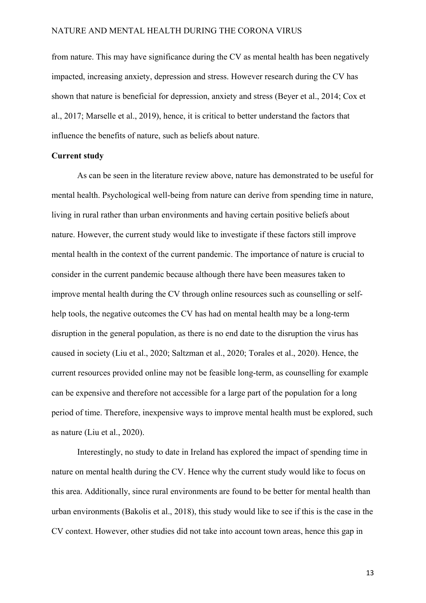from nature. This may have significance during the CV as mental health has been negatively impacted, increasing anxiety, depression and stress. However research during the CV has shown that nature is beneficial for depression, anxiety and stress (Beyer et al., 2014; Cox et al., 2017; Marselle et al., 2019), hence, it is critical to better understand the factors that influence the benefits of nature, such as beliefs about nature.

#### <span id="page-12-0"></span>**Current study**

As can be seen in the literature review above, nature has demonstrated to be useful for mental health. Psychological well-being from nature can derive from spending time in nature, living in rural rather than urban environments and having certain positive beliefs about nature. However, the current study would like to investigate if these factors still improve mental health in the context of the current pandemic. The importance of nature is crucial to consider in the current pandemic because although there have been measures taken to improve mental health during the CV through online resources such as counselling or selfhelp tools, the negative outcomes the CV has had on mental health may be a long-term disruption in the general population, as there is no end date to the disruption the virus has caused in society (Liu et al., 2020; Saltzman et al., 2020; Torales et al., 2020). Hence, the current resources provided online may not be feasible long-term, as counselling for example can be expensive and therefore not accessible for a large part of the population for a long period of time. Therefore, inexpensive ways to improve mental health must be explored, such as nature (Liu et al., 2020).

Interestingly, no study to date in Ireland has explored the impact of spending time in nature on mental health during the CV. Hence why the current study would like to focus on this area. Additionally, since rural environments are found to be better for mental health than urban environments (Bakolis et al., 2018), this study would like to see if this is the case in the CV context. However, other studies did not take into account town areas, hence this gap in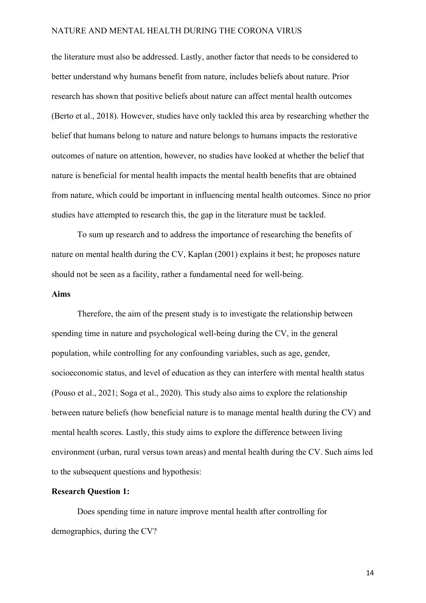the literature must also be addressed. Lastly, another factor that needs to be considered to better understand why humans benefit from nature, includes beliefs about nature. Prior research has shown that positive beliefs about nature can affect mental health outcomes (Berto et al., 2018). However, studies have only tackled this area by researching whether the belief that humans belong to nature and nature belongs to humans impacts the restorative outcomes of nature on attention, however, no studies have looked at whether the belief that nature is beneficial for mental health impacts the mental health benefits that are obtained from nature, which could be important in influencing mental health outcomes. Since no prior studies have attempted to research this, the gap in the literature must be tackled.

To sum up research and to address the importance of researching the benefits of nature on mental health during the CV, Kaplan (2001) explains it best; he proposes nature should not be seen as a facility, rather a fundamental need for well-being.

#### <span id="page-13-0"></span>**Aims**

Therefore, the aim of the present study is to investigate the relationship between spending time in nature and psychological well-being during the CV, in the general population, while controlling for any confounding variables, such as age, gender, socioeconomic status, and level of education as they can interfere with mental health status (Pouso et al., 2021; Soga et al., 2020). This study also aims to explore the relationship between nature beliefs (how beneficial nature is to manage mental health during the CV) and mental health scores. Lastly, this study aims to explore the difference between living environment (urban, rural versus town areas) and mental health during the CV. Such aims led to the subsequent questions and hypothesis:

#### <span id="page-13-1"></span>**Research Question 1:**

Does spending time in nature improve mental health after controlling for demographics, during the CV?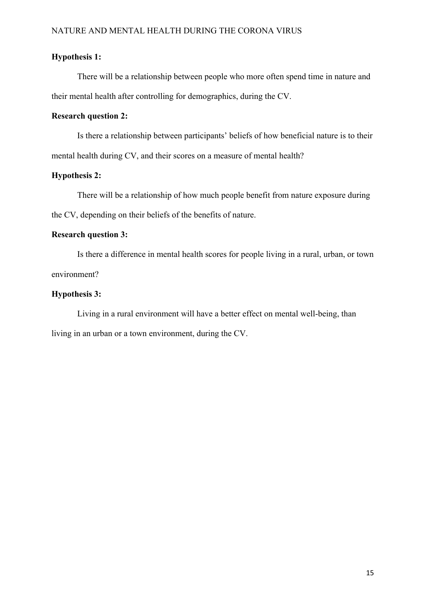#### <span id="page-14-0"></span>**Hypothesis 1:**

There will be a relationship between people who more often spend time in nature and their mental health after controlling for demographics, during the CV.

#### <span id="page-14-1"></span>**Research question 2:**

Is there a relationship between participants' beliefs of how beneficial nature is to their mental health during CV, and their scores on a measure of mental health?

#### <span id="page-14-2"></span>**Hypothesis 2:**

There will be a relationship of how much people benefit from nature exposure during the CV, depending on their beliefs of the benefits of nature.

## <span id="page-14-3"></span>**Research question 3:**

Is there a difference in mental health scores for people living in a rural, urban, or town environment?

## <span id="page-14-4"></span>**Hypothesis 3:**

Living in a rural environment will have a better effect on mental well-being, than living in an urban or a town environment, during the CV.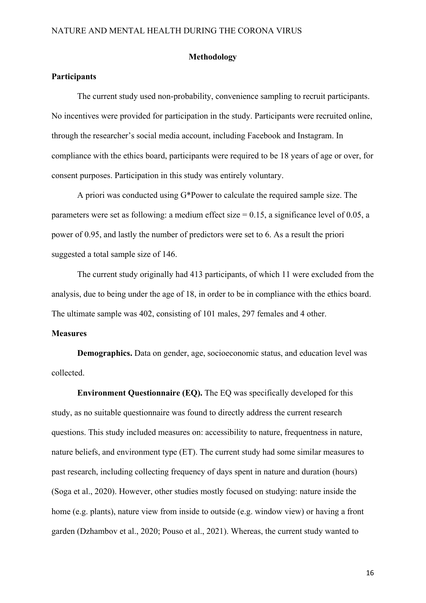#### **Methodology**

#### <span id="page-15-1"></span><span id="page-15-0"></span>**Participants**

The current study used non-probability, convenience sampling to recruit participants. No incentives were provided for participation in the study. Participants were recruited online, through the researcher's social media account, including Facebook and Instagram. In compliance with the ethics board, participants were required to be 18 years of age or over, for consent purposes. Participation in this study was entirely voluntary.

A priori was conducted using G\*Power to calculate the required sample size. The parameters were set as following: a medium effect size  $= 0.15$ , a significance level of 0.05, a power of 0.95, and lastly the number of predictors were set to 6. As a result the priori suggested a total sample size of 146.

The current study originally had 413 participants, of which 11 were excluded from the analysis, due to being under the age of 18, in order to be in compliance with the ethics board. The ultimate sample was 402, consisting of 101 males, 297 females and 4 other.

#### <span id="page-15-2"></span>**Measures**

<span id="page-15-3"></span>**Demographics.** Data on gender, age, socioeconomic status, and education level was collected.

<span id="page-15-4"></span>**Environment Questionnaire (EQ).** The EQ was specifically developed for this study, as no suitable questionnaire was found to directly address the current research questions. This study included measures on: accessibility to nature, frequentness in nature, nature beliefs, and environment type (ET). The current study had some similar measures to past research, including collecting frequency of days spent in nature and duration (hours) (Soga et al., 2020). However, other studies mostly focused on studying: nature inside the home (e.g. plants), nature view from inside to outside (e.g. window view) or having a front garden (Dzhambov et al., 2020; Pouso et al., 2021). Whereas, the current study wanted to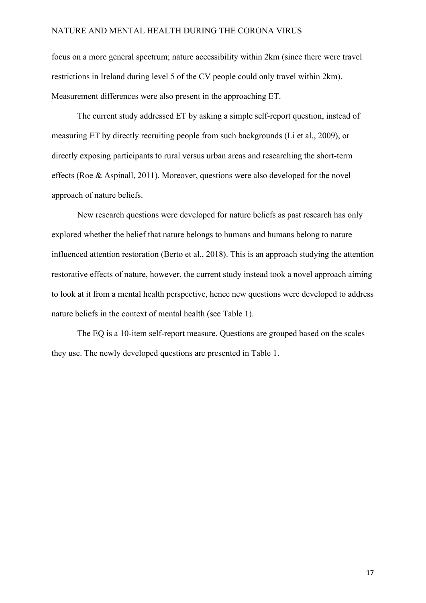focus on a more general spectrum; nature accessibility within 2km (since there were travel restrictions in Ireland during level 5 of the CV people could only travel within 2km). Measurement differences were also present in the approaching ET.

The current study addressed ET by asking a simple self-report question, instead of measuring ET by directly recruiting people from such backgrounds (Li et al., 2009), or directly exposing participants to rural versus urban areas and researching the short-term effects (Roe & Aspinall, 2011). Moreover, questions were also developed for the novel approach of nature beliefs.

New research questions were developed for nature beliefs as past research has only explored whether the belief that nature belongs to humans and humans belong to nature influenced attention restoration (Berto et al., 2018). This is an approach studying the attention restorative effects of nature, however, the current study instead took a novel approach aiming to look at it from a mental health perspective, hence new questions were developed to address nature beliefs in the context of mental health (see Table 1).

The EQ is a 10-item self-report measure. Questions are grouped based on the scales they use. The newly developed questions are presented in Table 1.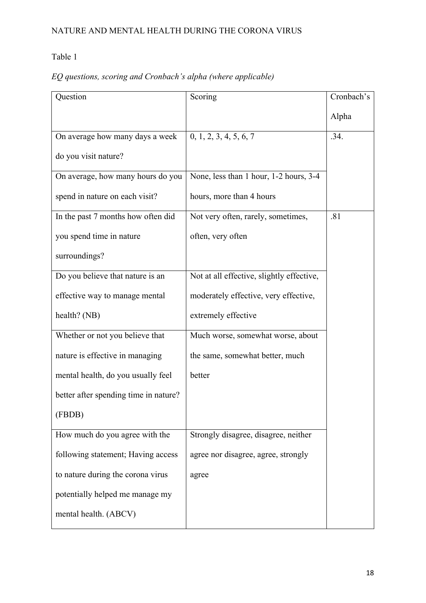# *EQ questions, scoring and Cronbach's alpha (where applicable)*

| Question                              | Scoring                                   | Cronbach's |
|---------------------------------------|-------------------------------------------|------------|
|                                       |                                           | Alpha      |
| On average how many days a week       | 0, 1, 2, 3, 4, 5, 6, 7                    | .34.       |
| do you visit nature?                  |                                           |            |
| On average, how many hours do you     | None, less than 1 hour, 1-2 hours, 3-4    |            |
| spend in nature on each visit?        | hours, more than 4 hours                  |            |
| In the past 7 months how often did    | Not very often, rarely, sometimes,        | .81        |
| you spend time in nature              | often, very often                         |            |
| surroundings?                         |                                           |            |
| Do you believe that nature is an      | Not at all effective, slightly effective, |            |
| effective way to manage mental        | moderately effective, very effective,     |            |
| health? (NB)                          | extremely effective                       |            |
| Whether or not you believe that       | Much worse, somewhat worse, about         |            |
| nature is effective in managing       | the same, somewhat better, much           |            |
| mental health, do you usually feel    | better                                    |            |
| better after spending time in nature? |                                           |            |
| (FBDB)                                |                                           |            |
| How much do you agree with the        | Strongly disagree, disagree, neither      |            |
| following statement; Having access    | agree nor disagree, agree, strongly       |            |
| to nature during the corona virus     | agree                                     |            |
| potentially helped me manage my       |                                           |            |
| mental health. (ABCV)                 |                                           |            |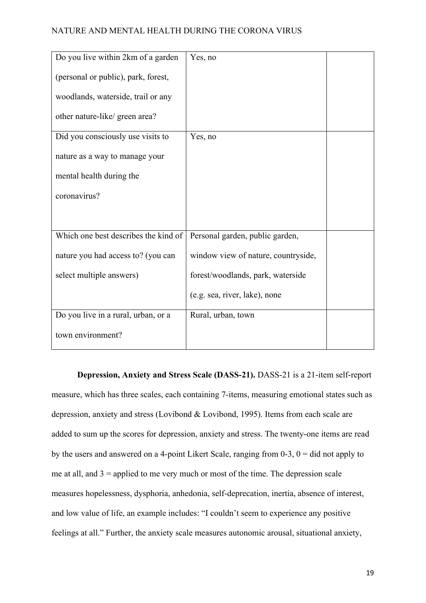| Do you live within 2km of a garden   | Yes, no                             |  |
|--------------------------------------|-------------------------------------|--|
| (personal or public), park, forest,  |                                     |  |
| woodlands, waterside, trail or any   |                                     |  |
| other nature-like/ green area?       |                                     |  |
| Did you consciously use visits to    | Yes, no                             |  |
| nature as a way to manage your       |                                     |  |
| mental health during the             |                                     |  |
| coronavirus?                         |                                     |  |
|                                      |                                     |  |
| Which one best describes the kind of | Personal garden, public garden,     |  |
| nature you had access to? (you can   | window view of nature, countryside, |  |
| select multiple answers)             | forest/woodlands, park, waterside   |  |
|                                      | (e.g. sea, river, lake), none       |  |
| Do you live in a rural, urban, or a  | Rural, urban, town                  |  |
| town environment?                    |                                     |  |

<span id="page-18-0"></span>**Depression, Anxiety and Stress Scale (DASS-21).** DASS-21 is a 21-item self-report measure, which has three scales, each containing 7-items, measuring emotional states such as depression, anxiety and stress (Lovibond & Lovibond, 1995). Items from each scale are added to sum up the scores for depression, anxiety and stress. The twenty-one items are read by the users and answered on a 4-point Likert Scale, ranging from  $0-3$ ,  $0 =$  did not apply to me at all, and  $3$  = applied to me very much or most of the time. The depression scale measures hopelessness, dysphoria, anhedonia, self-deprecation, inertia, absence of interest, and low value of life, an example includes: "I couldn't seem to experience any positive feelings at all." Further, the anxiety scale measures autonomic arousal, situational anxiety,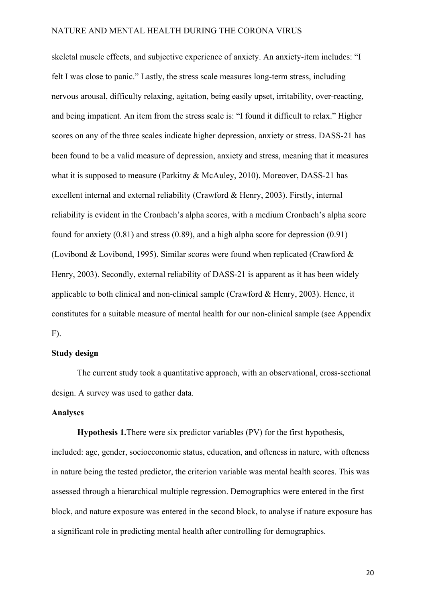skeletal muscle effects, and subjective experience of anxiety. An anxiety-item includes: "I felt I was close to panic." Lastly, the stress scale measures long-term stress, including nervous arousal, difficulty relaxing, agitation, being easily upset, irritability, over-reacting, and being impatient. An item from the stress scale is: "I found it difficult to relax." Higher scores on any of the three scales indicate higher depression, anxiety or stress. DASS-21 has been found to be a valid measure of depression, anxiety and stress, meaning that it measures what it is supposed to measure (Parkitny & McAuley, 2010). Moreover, DASS-21 has excellent internal and external reliability (Crawford & Henry, 2003). Firstly, internal reliability is evident in the Cronbach's alpha scores, with a medium Cronbach's alpha score found for anxiety (0.81) and stress (0.89), and a high alpha score for depression (0.91) (Lovibond & Lovibond, 1995). Similar scores were found when replicated (Crawford & Henry, 2003). Secondly, external reliability of DASS-21 is apparent as it has been widely applicable to both clinical and non-clinical sample (Crawford & Henry, 2003). Hence, it constitutes for a suitable measure of mental health for our non-clinical sample (see Appendix  $F$ ).

#### <span id="page-19-0"></span>**Study design**

The current study took a quantitative approach, with an observational, cross-sectional design. A survey was used to gather data.

### <span id="page-19-1"></span>**Analyses**

<span id="page-19-2"></span>**Hypothesis 1.**There were six predictor variables (PV) for the first hypothesis, included: age, gender, socioeconomic status, education, and ofteness in nature, with ofteness in nature being the tested predictor, the criterion variable was mental health scores. This was assessed through a hierarchical multiple regression. Demographics were entered in the first block, and nature exposure was entered in the second block, to analyse if nature exposure has a significant role in predicting mental health after controlling for demographics.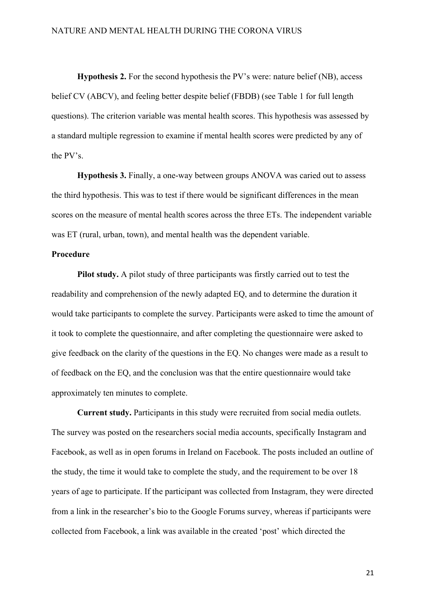<span id="page-20-0"></span>**Hypothesis 2.** For the second hypothesis the PV's were: nature belief (NB), access belief CV (ABCV), and feeling better despite belief (FBDB) (see Table 1 for full length questions). The criterion variable was mental health scores. This hypothesis was assessed by a standard multiple regression to examine if mental health scores were predicted by any of the PV's.

<span id="page-20-1"></span>**Hypothesis 3.** Finally, a one-way between groups ANOVA was caried out to assess the third hypothesis. This was to test if there would be significant differences in the mean scores on the measure of mental health scores across the three ETs. The independent variable was ET (rural, urban, town), and mental health was the dependent variable.

#### <span id="page-20-2"></span>**Procedure**

<span id="page-20-3"></span>**Pilot study.** A pilot study of three participants was firstly carried out to test the readability and comprehension of the newly adapted EQ, and to determine the duration it would take participants to complete the survey. Participants were asked to time the amount of it took to complete the questionnaire, and after completing the questionnaire were asked to give feedback on the clarity of the questions in the EQ. No changes were made as a result to of feedback on the EQ, and the conclusion was that the entire questionnaire would take approximately ten minutes to complete.

<span id="page-20-4"></span>**Current study.** Participants in this study were recruited from social media outlets. The survey was posted on the researchers social media accounts, specifically Instagram and Facebook, as well as in open forums in Ireland on Facebook. The posts included an outline of the study, the time it would take to complete the study, and the requirement to be over 18 years of age to participate. If the participant was collected from Instagram, they were directed from a link in the researcher's bio to the Google Forums survey, whereas if participants were collected from Facebook, a link was available in the created 'post' which directed the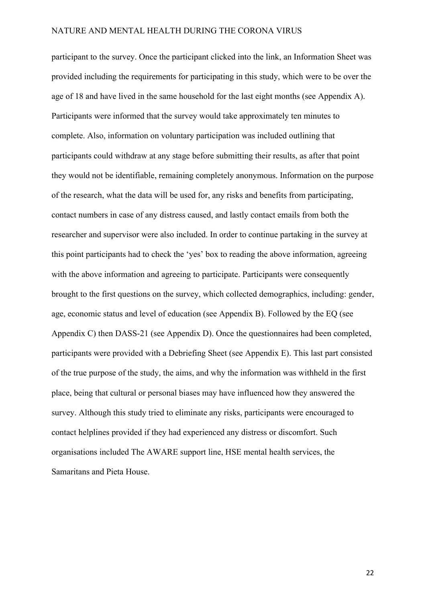participant to the survey. Once the participant clicked into the link, an Information Sheet was provided including the requirements for participating in this study, which were to be over the age of 18 and have lived in the same household for the last eight months (see Appendix A). Participants were informed that the survey would take approximately ten minutes to complete. Also, information on voluntary participation was included outlining that participants could withdraw at any stage before submitting their results, as after that point they would not be identifiable, remaining completely anonymous. Information on the purpose of the research, what the data will be used for, any risks and benefits from participating, contact numbers in case of any distress caused, and lastly contact emails from both the researcher and supervisor were also included. In order to continue partaking in the survey at this point participants had to check the 'yes' box to reading the above information, agreeing with the above information and agreeing to participate. Participants were consequently brought to the first questions on the survey, which collected demographics, including: gender, age, economic status and level of education (see Appendix B). Followed by the EQ (see Appendix C) then DASS-21 (see Appendix D). Once the questionnaires had been completed, participants were provided with a Debriefing Sheet (see Appendix E). This last part consisted of the true purpose of the study, the aims, and why the information was withheld in the first place, being that cultural or personal biases may have influenced how they answered the survey. Although this study tried to eliminate any risks, participants were encouraged to contact helplines provided if they had experienced any distress or discomfort. Such organisations included The AWARE support line, HSE mental health services, the Samaritans and Pieta House.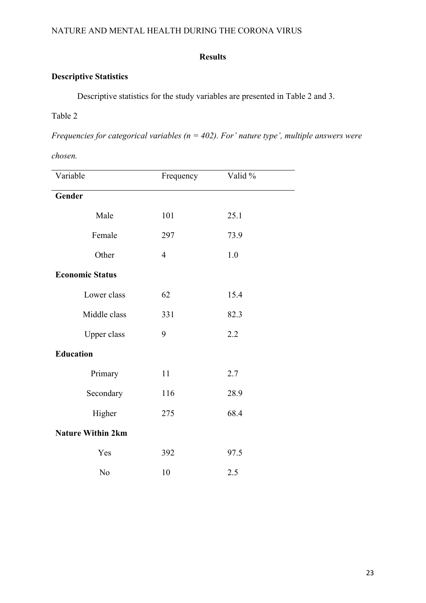## **Results**

## <span id="page-22-1"></span><span id="page-22-0"></span>**Descriptive Statistics**

Descriptive statistics for the study variables are presented in Table 2 and 3.

## Table 2

*Frequencies for categorical variables (n = 402). For' nature type', multiple answers were* 

*chosen.* 

| Variable                 | Frequency      | Valid % |  |
|--------------------------|----------------|---------|--|
| Gender                   |                |         |  |
| Male                     | 101            | 25.1    |  |
| Female                   | 297            | 73.9    |  |
| Other                    | $\overline{4}$ | 1.0     |  |
| <b>Economic Status</b>   |                |         |  |
| Lower class              | 62             | 15.4    |  |
| Middle class             | 331            | 82.3    |  |
| Upper class              | 9              | 2.2     |  |
| <b>Education</b>         |                |         |  |
| Primary                  | 11             | 2.7     |  |
| Secondary                | 116            | 28.9    |  |
| Higher                   | 275            | 68.4    |  |
| <b>Nature Within 2km</b> |                |         |  |
| Yes                      | 392            | 97.5    |  |
| No                       | 10             | 2.5     |  |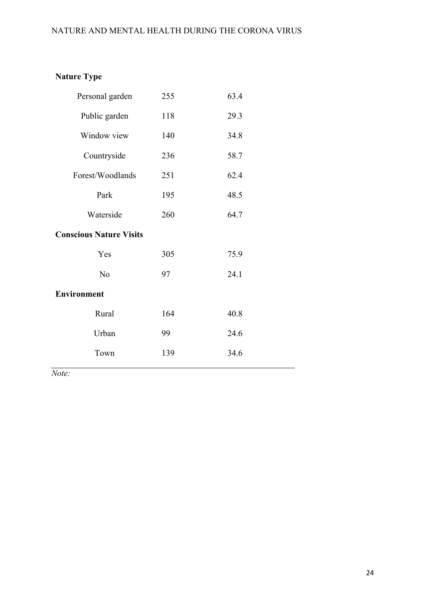# **Nature Type**

| Personal garden                | 255 | 63.4 |
|--------------------------------|-----|------|
| Public garden                  | 118 | 29.3 |
| Window view                    | 140 | 34.8 |
| Countryside                    | 236 | 58.7 |
| Forest/Woodlands               | 251 | 62.4 |
| Park                           | 195 | 48.5 |
| Waterside                      | 260 | 64.7 |
| <b>Conscious Nature Visits</b> |     |      |
| Yes                            | 305 | 75.9 |
| No                             | 97  | 24.1 |
| <b>Environment</b>             |     |      |
| Rural                          | 164 | 40.8 |
| Urban                          | 99  | 24.6 |
| Town                           | 139 | 34.6 |
|                                |     |      |

*Note:*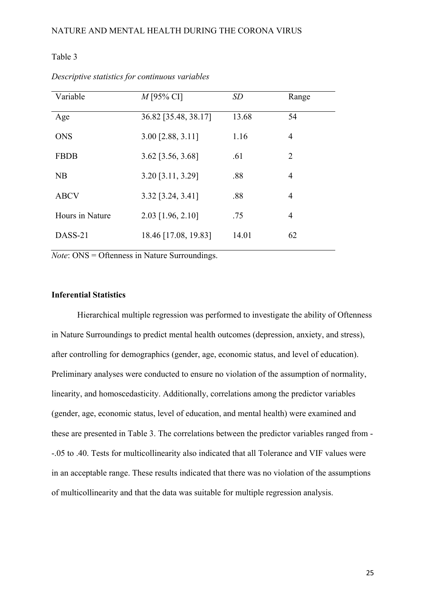| Variable        | $M$ [95% CI]               | SD    | Range          |
|-----------------|----------------------------|-------|----------------|
| Age             | 36.82 [35.48, 38.17]       | 13.68 | 54             |
| <b>ONS</b>      | 3.00 [2.88, 3.11]          | 1.16  | $\overline{4}$ |
| <b>FBDB</b>     | $3.62$ [ $3.56$ , $3.68$ ] | .61   | 2              |
| NB              | $3.20$ [ $3.11$ , $3.29$ ] | .88   | $\overline{4}$ |
| <b>ABCV</b>     | $3.32$ [ $3.24$ , $3.41$ ] | .88   | $\overline{4}$ |
| Hours in Nature | 2.03 [1.96, 2.10]          | .75   | 4              |
| DASS-21         | 18.46 [17.08, 19.83]       | 14.01 | 62             |

*Descriptive statistics for continuous variables*

*Note*: ONS = Oftenness in Nature Surroundings.

### <span id="page-24-0"></span>**Inferential Statistics**

Hierarchical multiple regression was performed to investigate the ability of Oftenness in Nature Surroundings to predict mental health outcomes (depression, anxiety, and stress), after controlling for demographics (gender, age, economic status, and level of education). Preliminary analyses were conducted to ensure no violation of the assumption of normality, linearity, and homoscedasticity. Additionally, correlations among the predictor variables (gender, age, economic status, level of education, and mental health) were examined and these are presented in Table 3. The correlations between the predictor variables ranged from - -.05 to .40. Tests for multicollinearity also indicated that all Tolerance and VIF values were in an acceptable range. These results indicated that there was no violation of the assumptions of multicollinearity and that the data was suitable for multiple regression analysis.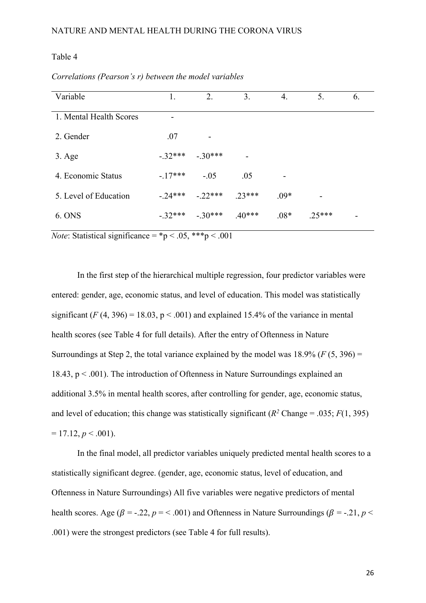| Variable                | 1.        | 2.        | 3.                       | 4.     | 5.       | 6. |
|-------------------------|-----------|-----------|--------------------------|--------|----------|----|
| 1. Mental Health Scores |           |           |                          |        |          |    |
| 2. Gender               | .07       |           |                          |        |          |    |
| $3. \text{Age}$         | $-.32***$ | $-.30***$ | $\overline{\phantom{a}}$ |        |          |    |
| 4. Economic Status      | $-.17***$ | $-.05$    | .05                      |        |          |    |
| 5. Level of Education   | $-.24***$ | $-22***$  | $.23***$                 | $.09*$ |          |    |
| 6. ONS                  | $-32***$  | $-.30***$ | $.40***$                 | $.08*$ | $.25***$ |    |

*Correlations (Pearson's r) between the model variables* 

*Note*: Statistical significance =  ${}^*p$  < .05, \*\*\*p < .001

In the first step of the hierarchical multiple regression, four predictor variables were entered: gender, age, economic status, and level of education. This model was statistically significant  $(F(4, 396) = 18.03, p < .001)$  and explained 15.4% of the variance in mental health scores (see Table 4 for full details). After the entry of Oftenness in Nature Surroundings at Step 2, the total variance explained by the model was  $18.9\%$  ( $F(5, 396) =$ 18.43,  $p < .001$ ). The introduction of Oftenness in Nature Surroundings explained an additional 3.5% in mental health scores, after controlling for gender, age, economic status, and level of education; this change was statistically significant  $(R^2 \text{ Change} = .035; F(1, 395))$  $= 17.12, p < .001$ ).

In the final model, all predictor variables uniquely predicted mental health scores to a statistically significant degree. (gender, age, economic status, level of education, and Oftenness in Nature Surroundings) All five variables were negative predictors of mental health scores. Age ( $\beta$  = -.22,  $p$  = < .001) and Oftenness in Nature Surroundings ( $\beta$  = -.21,  $p$  < .001) were the strongest predictors (see Table 4 for full results).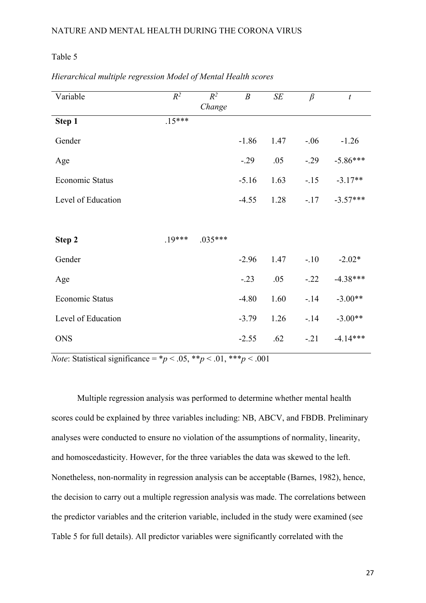| Variable               | $R^2$    | $R^2$<br>Change | $\boldsymbol{B}$ | $\cal SE$ | $\beta$ | $\boldsymbol{t}$ |
|------------------------|----------|-----------------|------------------|-----------|---------|------------------|
| Step 1                 | $.15***$ |                 |                  |           |         |                  |
| Gender                 |          |                 | $-1.86$          | 1.47      | $-.06$  | $-1.26$          |
| Age                    |          |                 | $-.29$           | .05       | $-.29$  | $-5.86***$       |
| Economic Status        |          |                 | $-5.16$          | 1.63      | $-.15$  | $-3.17**$        |
| Level of Education     |          |                 | $-4.55$          | 1.28      | $-.17$  | $-3.57***$       |
|                        |          |                 |                  |           |         |                  |
| Step 2                 | $.19***$ | $.035***$       |                  |           |         |                  |
| Gender                 |          |                 | $-2.96$          | 1.47      | $-.10$  | $-2.02*$         |
| Age                    |          |                 | $-.23$           | .05       | $-.22$  | $-4.38***$       |
| <b>Economic Status</b> |          |                 | $-4.80$          | 1.60      | $-.14$  | $-3.00**$        |
| Level of Education     |          |                 | $-3.79$          | 1.26      | $-.14$  | $-3.00**$        |
| <b>ONS</b>             |          |                 | $-2.55$          | .62       | $-.21$  | $-4.14***$       |

*Hierarchical multiple regression Model of Mental Health scores*

*Note*: Statistical significance =  $*p < .05$ ,  $**p < .01$ ,  $**p < .001$ 

Multiple regression analysis was performed to determine whether mental health scores could be explained by three variables including: NB, ABCV, and FBDB. Preliminary analyses were conducted to ensure no violation of the assumptions of normality, linearity, and homoscedasticity. However, for the three variables the data was skewed to the left. Nonetheless, non-normality in regression analysis can be acceptable (Barnes, 1982), hence, the decision to carry out a multiple regression analysis was made. The correlations between the predictor variables and the criterion variable, included in the study were examined (see Table 5 for full details). All predictor variables were significantly correlated with the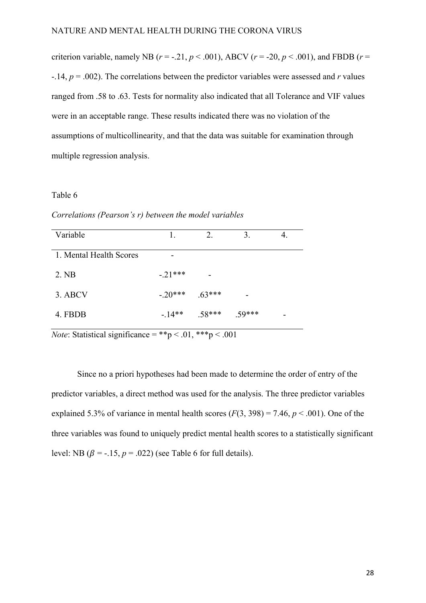criterion variable, namely NB ( $r = -.21$ ,  $p < .001$ ), ABCV ( $r = .20$ ,  $p < .001$ ), and FBDB ( $r =$ -.14, *p* = .002). The correlations between the predictor variables were assessed and *r* values ranged from .58 to .63. Tests for normality also indicated that all Tolerance and VIF values were in an acceptable range. These results indicated there was no violation of the assumptions of multicollinearity, and that the data was suitable for examination through multiple regression analysis.

#### Table 6

*Correlations (Pearson's r) between the model variables* 

|           | 2.       | 3.       |  |
|-----------|----------|----------|--|
|           |          |          |  |
| $-.21***$ |          |          |  |
| $-.20***$ |          |          |  |
| $-14**$   | $.58***$ | $.59***$ |  |
|           |          | $.63***$ |  |

*Note*: Statistical significance = \*\*p < .01, \*\*\*p < .001

Since no a priori hypotheses had been made to determine the order of entry of the predictor variables, a direct method was used for the analysis. The three predictor variables explained 5.3% of variance in mental health scores  $(F(3, 398) = 7.46, p < .001)$ . One of the three variables was found to uniquely predict mental health scores to a statistically significant level: NB  $(\beta = -15, p = .022)$  (see Table 6 for full details).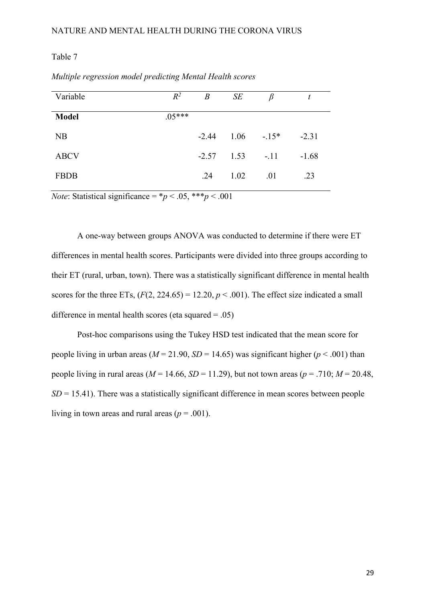| Variable     | $R^2$    | $\boldsymbol{B}$ | SE                   | $\beta$ |         |
|--------------|----------|------------------|----------------------|---------|---------|
| <b>Model</b> | $.05***$ |                  |                      |         |         |
| NB           |          |                  | $-2.44$ 1.06 $-15^*$ |         | $-2.31$ |
| <b>ABCV</b>  |          | $-2.57$          | $1.53 - 11$          |         | $-1.68$ |
| <b>FBDB</b>  |          | .24              | 1.02                 | .01     | .23     |

*Multiple regression model predicting Mental Health scores*

*Note*: Statistical significance =  $\frac{*p}{5}$  < .05, \*\*\**p* < .001

A one-way between groups ANOVA was conducted to determine if there were ET differences in mental health scores. Participants were divided into three groups according to their ET (rural, urban, town). There was a statistically significant difference in mental health scores for the three ETs,  $(F(2, 224.65) = 12.20, p < .001)$ . The effect size indicated a small difference in mental health scores (eta squared  $= .05$ )

Post-hoc comparisons using the Tukey HSD test indicated that the mean score for people living in urban areas ( $M = 21.90$ ,  $SD = 14.65$ ) was significant higher ( $p < .001$ ) than people living in rural areas ( $M = 14.66$ ,  $SD = 11.29$ ), but not town areas ( $p = .710$ ;  $M = 20.48$ ,  $SD = 15.41$ ). There was a statistically significant difference in mean scores between people living in town areas and rural areas ( $p = .001$ ).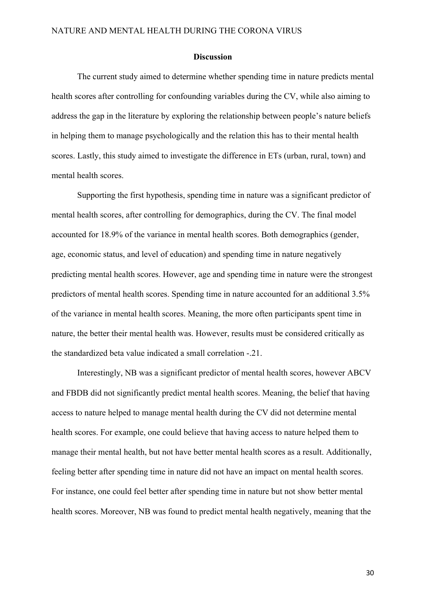#### **Discussion**

<span id="page-29-0"></span>The current study aimed to determine whether spending time in nature predicts mental health scores after controlling for confounding variables during the CV, while also aiming to address the gap in the literature by exploring the relationship between people's nature beliefs in helping them to manage psychologically and the relation this has to their mental health scores. Lastly, this study aimed to investigate the difference in ETs (urban, rural, town) and mental health scores.

Supporting the first hypothesis, spending time in nature was a significant predictor of mental health scores, after controlling for demographics, during the CV. The final model accounted for 18.9% of the variance in mental health scores. Both demographics (gender, age, economic status, and level of education) and spending time in nature negatively predicting mental health scores. However, age and spending time in nature were the strongest predictors of mental health scores. Spending time in nature accounted for an additional 3.5% of the variance in mental health scores. Meaning, the more often participants spent time in nature, the better their mental health was. However, results must be considered critically as the standardized beta value indicated a small correlation -.21.

Interestingly, NB was a significant predictor of mental health scores, however ABCV and FBDB did not significantly predict mental health scores. Meaning, the belief that having access to nature helped to manage mental health during the CV did not determine mental health scores. For example, one could believe that having access to nature helped them to manage their mental health, but not have better mental health scores as a result. Additionally, feeling better after spending time in nature did not have an impact on mental health scores. For instance, one could feel better after spending time in nature but not show better mental health scores. Moreover, NB was found to predict mental health negatively, meaning that the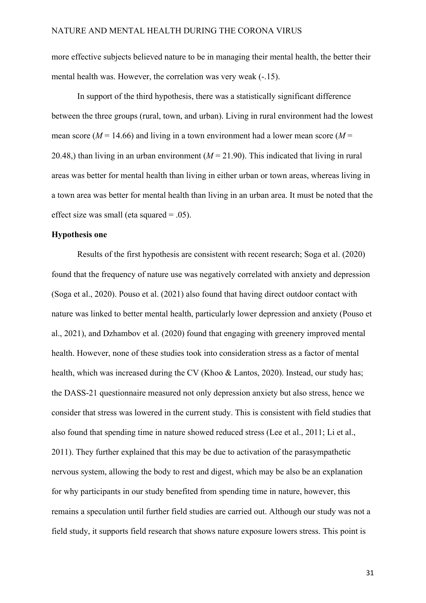more effective subjects believed nature to be in managing their mental health, the better their mental health was. However, the correlation was very weak (-.15).

In support of the third hypothesis, there was a statistically significant difference between the three groups (rural, town, and urban). Living in rural environment had the lowest mean score ( $M = 14.66$ ) and living in a town environment had a lower mean score ( $M =$ 20.48,) than living in an urban environment  $(M = 21.90)$ . This indicated that living in rural areas was better for mental health than living in either urban or town areas, whereas living in a town area was better for mental health than living in an urban area. It must be noted that the effect size was small (eta squared = .05).

#### <span id="page-30-0"></span>**Hypothesis one**

Results of the first hypothesis are consistent with recent research; Soga et al. (2020) found that the frequency of nature use was negatively correlated with anxiety and depression (Soga et al., 2020). Pouso et al. (2021) also found that having direct outdoor contact with nature was linked to better mental health, particularly lower depression and anxiety (Pouso et al., 2021), and Dzhambov et al. (2020) found that engaging with greenery improved mental health. However, none of these studies took into consideration stress as a factor of mental health, which was increased during the CV (Khoo & Lantos, 2020). Instead, our study has; the DASS-21 questionnaire measured not only depression anxiety but also stress, hence we consider that stress was lowered in the current study. This is consistent with field studies that also found that spending time in nature showed reduced stress (Lee et al., 2011; Li et al., 2011). They further explained that this may be due to activation of the parasympathetic nervous system, allowing the body to rest and digest, which may be also be an explanation for why participants in our study benefited from spending time in nature, however, this remains a speculation until further field studies are carried out. Although our study was not a field study, it supports field research that shows nature exposure lowers stress. This point is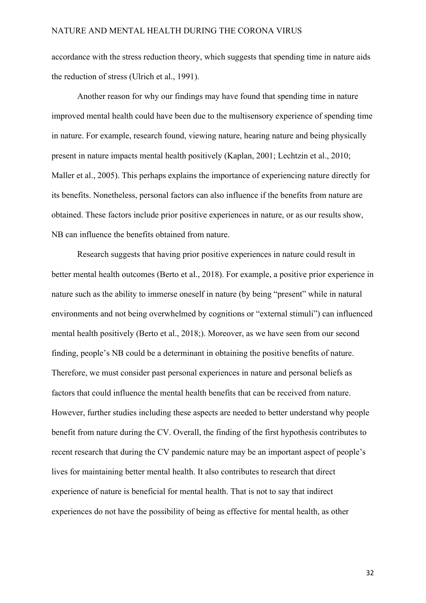accordance with the stress reduction theory, which suggests that spending time in nature aids the reduction of stress (Ulrich et al., 1991).

Another reason for why our findings may have found that spending time in nature improved mental health could have been due to the multisensory experience of spending time in nature. For example, research found, viewing nature, hearing nature and being physically present in nature impacts mental health positively (Kaplan, 2001; Lechtzin et al., 2010; Maller et al., 2005). This perhaps explains the importance of experiencing nature directly for its benefits. Nonetheless, personal factors can also influence if the benefits from nature are obtained. These factors include prior positive experiences in nature, or as our results show, NB can influence the benefits obtained from nature.

Research suggests that having prior positive experiences in nature could result in better mental health outcomes (Berto et al., 2018). For example, a positive prior experience in nature such as the ability to immerse oneself in nature (by being "present" while in natural environments and not being overwhelmed by cognitions or "external stimuli") can influenced mental health positively (Berto et al., 2018;). Moreover, as we have seen from our second finding, people's NB could be a determinant in obtaining the positive benefits of nature. Therefore, we must consider past personal experiences in nature and personal beliefs as factors that could influence the mental health benefits that can be received from nature. However, further studies including these aspects are needed to better understand why people benefit from nature during the CV. Overall, the finding of the first hypothesis contributes to recent research that during the CV pandemic nature may be an important aspect of people's lives for maintaining better mental health. It also contributes to research that direct experience of nature is beneficial for mental health. That is not to say that indirect experiences do not have the possibility of being as effective for mental health, as other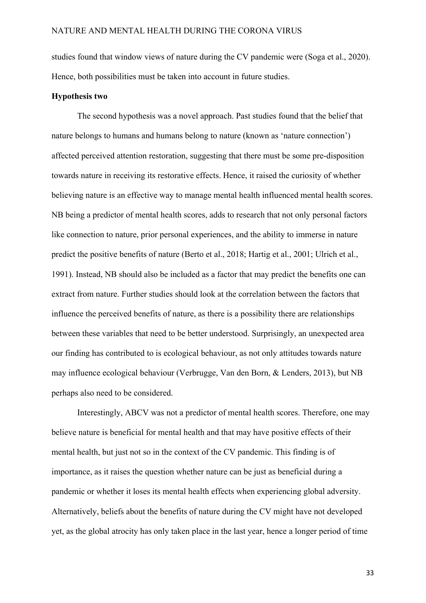studies found that window views of nature during the CV pandemic were (Soga et al., 2020). Hence, both possibilities must be taken into account in future studies.

#### <span id="page-32-0"></span>**Hypothesis two**

The second hypothesis was a novel approach. Past studies found that the belief that nature belongs to humans and humans belong to nature (known as 'nature connection') affected perceived attention restoration, suggesting that there must be some pre-disposition towards nature in receiving its restorative effects. Hence, it raised the curiosity of whether believing nature is an effective way to manage mental health influenced mental health scores. NB being a predictor of mental health scores, adds to research that not only personal factors like connection to nature, prior personal experiences, and the ability to immerse in nature predict the positive benefits of nature (Berto et al., 2018; Hartig et al., 2001; Ulrich et al., 1991). Instead, NB should also be included as a factor that may predict the benefits one can extract from nature. Further studies should look at the correlation between the factors that influence the perceived benefits of nature, as there is a possibility there are relationships between these variables that need to be better understood. Surprisingly, an unexpected area our finding has contributed to is ecological behaviour, as not only attitudes towards nature may influence ecological behaviour (Verbrugge, Van den Born, & Lenders, 2013), but NB perhaps also need to be considered.

Interestingly, ABCV was not a predictor of mental health scores. Therefore, one may believe nature is beneficial for mental health and that may have positive effects of their mental health, but just not so in the context of the CV pandemic. This finding is of importance, as it raises the question whether nature can be just as beneficial during a pandemic or whether it loses its mental health effects when experiencing global adversity. Alternatively, beliefs about the benefits of nature during the CV might have not developed yet, as the global atrocity has only taken place in the last year, hence a longer period of time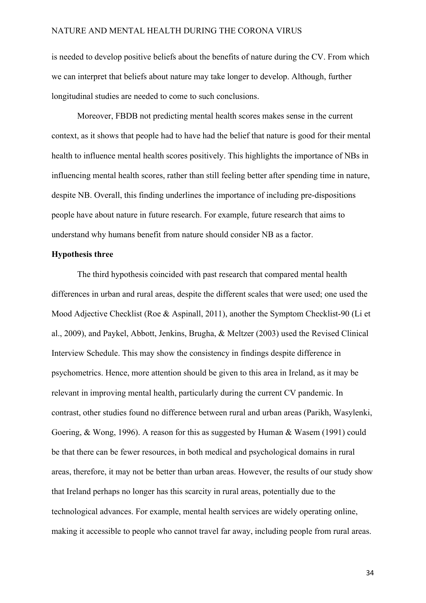is needed to develop positive beliefs about the benefits of nature during the CV. From which we can interpret that beliefs about nature may take longer to develop. Although, further longitudinal studies are needed to come to such conclusions.

Moreover, FBDB not predicting mental health scores makes sense in the current context, as it shows that people had to have had the belief that nature is good for their mental health to influence mental health scores positively. This highlights the importance of NBs in influencing mental health scores, rather than still feeling better after spending time in nature, despite NB. Overall, this finding underlines the importance of including pre-dispositions people have about nature in future research. For example, future research that aims to understand why humans benefit from nature should consider NB as a factor.

#### <span id="page-33-0"></span>**Hypothesis three**

The third hypothesis coincided with past research that compared mental health differences in urban and rural areas, despite the different scales that were used; one used the Mood Adjective Checklist (Roe & Aspinall, 2011), another the Symptom Checklist-90 (Li et al., 2009), and Paykel, Abbott, Jenkins, Brugha, & Meltzer (2003) used the Revised Clinical Interview Schedule. This may show the consistency in findings despite difference in psychometrics. Hence, more attention should be given to this area in Ireland, as it may be relevant in improving mental health, particularly during the current CV pandemic. In contrast, other studies found no difference between rural and urban areas (Parikh, Wasylenki, Goering, & Wong, 1996). A reason for this as suggested by Human & Wasem (1991) could be that there can be fewer resources, in both medical and psychological domains in rural areas, therefore, it may not be better than urban areas. However, the results of our study show that Ireland perhaps no longer has this scarcity in rural areas, potentially due to the technological advances. For example, mental health services are widely operating online, making it accessible to people who cannot travel far away, including people from rural areas.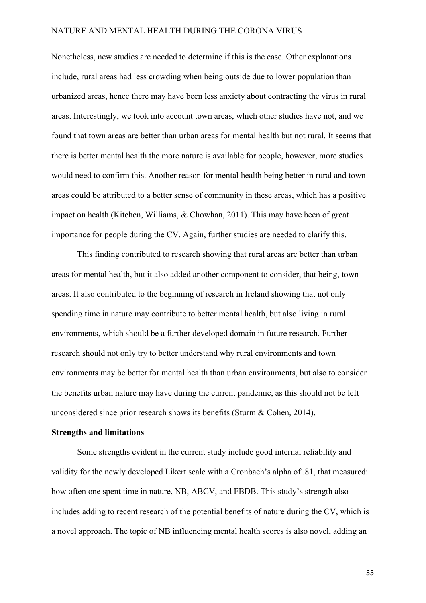Nonetheless, new studies are needed to determine if this is the case. Other explanations include, rural areas had less crowding when being outside due to lower population than urbanized areas, hence there may have been less anxiety about contracting the virus in rural areas. Interestingly, we took into account town areas, which other studies have not, and we found that town areas are better than urban areas for mental health but not rural. It seems that there is better mental health the more nature is available for people, however, more studies would need to confirm this. Another reason for mental health being better in rural and town areas could be attributed to a better sense of community in these areas, which has a positive impact on health (Kitchen, Williams, & Chowhan, 2011). This may have been of great importance for people during the CV. Again, further studies are needed to clarify this.

This finding contributed to research showing that rural areas are better than urban areas for mental health, but it also added another component to consider, that being, town areas. It also contributed to the beginning of research in Ireland showing that not only spending time in nature may contribute to better mental health, but also living in rural environments, which should be a further developed domain in future research. Further research should not only try to better understand why rural environments and town environments may be better for mental health than urban environments, but also to consider the benefits urban nature may have during the current pandemic, as this should not be left unconsidered since prior research shows its benefits (Sturm & Cohen, 2014).

#### <span id="page-34-0"></span>**Strengths and limitations**

Some strengths evident in the current study include good internal reliability and validity for the newly developed Likert scale with a Cronbach's alpha of .81, that measured: how often one spent time in nature, NB, ABCV, and FBDB. This study's strength also includes adding to recent research of the potential benefits of nature during the CV, which is a novel approach. The topic of NB influencing mental health scores is also novel, adding an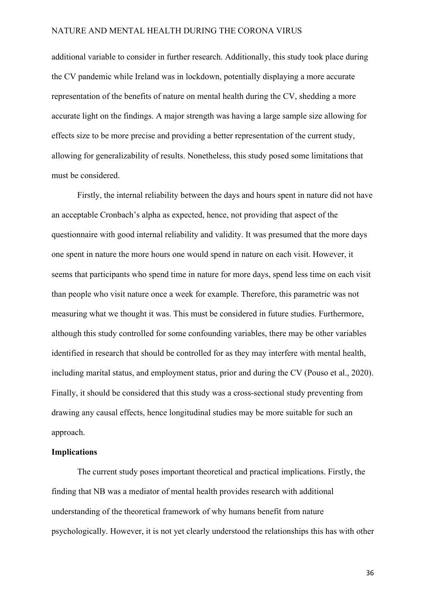additional variable to consider in further research. Additionally, this study took place during the CV pandemic while Ireland was in lockdown, potentially displaying a more accurate representation of the benefits of nature on mental health during the CV, shedding a more accurate light on the findings. A major strength was having a large sample size allowing for effects size to be more precise and providing a better representation of the current study, allowing for generalizability of results. Nonetheless, this study posed some limitations that must be considered.

Firstly, the internal reliability between the days and hours spent in nature did not have an acceptable Cronbach's alpha as expected, hence, not providing that aspect of the questionnaire with good internal reliability and validity. It was presumed that the more days one spent in nature the more hours one would spend in nature on each visit. However, it seems that participants who spend time in nature for more days, spend less time on each visit than people who visit nature once a week for example. Therefore, this parametric was not measuring what we thought it was. This must be considered in future studies. Furthermore, although this study controlled for some confounding variables, there may be other variables identified in research that should be controlled for as they may interfere with mental health, including marital status, and employment status, prior and during the CV (Pouso et al., 2020). Finally, it should be considered that this study was a cross-sectional study preventing from drawing any causal effects, hence longitudinal studies may be more suitable for such an approach.

#### <span id="page-35-0"></span>**Implications**

The current study poses important theoretical and practical implications. Firstly, the finding that NB was a mediator of mental health provides research with additional understanding of the theoretical framework of why humans benefit from nature psychologically. However, it is not yet clearly understood the relationships this has with other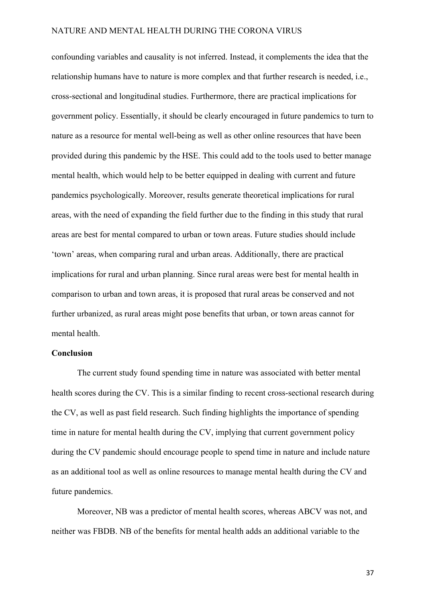confounding variables and causality is not inferred. Instead, it complements the idea that the relationship humans have to nature is more complex and that further research is needed, i.e., cross-sectional and longitudinal studies. Furthermore, there are practical implications for government policy. Essentially, it should be clearly encouraged in future pandemics to turn to nature as a resource for mental well-being as well as other online resources that have been provided during this pandemic by the HSE. This could add to the tools used to better manage mental health, which would help to be better equipped in dealing with current and future pandemics psychologically. Moreover, results generate theoretical implications for rural areas, with the need of expanding the field further due to the finding in this study that rural areas are best for mental compared to urban or town areas. Future studies should include 'town' areas, when comparing rural and urban areas. Additionally, there are practical implications for rural and urban planning. Since rural areas were best for mental health in comparison to urban and town areas, it is proposed that rural areas be conserved and not further urbanized, as rural areas might pose benefits that urban, or town areas cannot for mental health.

#### <span id="page-36-0"></span>**Conclusion**

The current study found spending time in nature was associated with better mental health scores during the CV. This is a similar finding to recent cross-sectional research during the CV, as well as past field research. Such finding highlights the importance of spending time in nature for mental health during the CV, implying that current government policy during the CV pandemic should encourage people to spend time in nature and include nature as an additional tool as well as online resources to manage mental health during the CV and future pandemics.

Moreover, NB was a predictor of mental health scores, whereas ABCV was not, and neither was FBDB. NB of the benefits for mental health adds an additional variable to the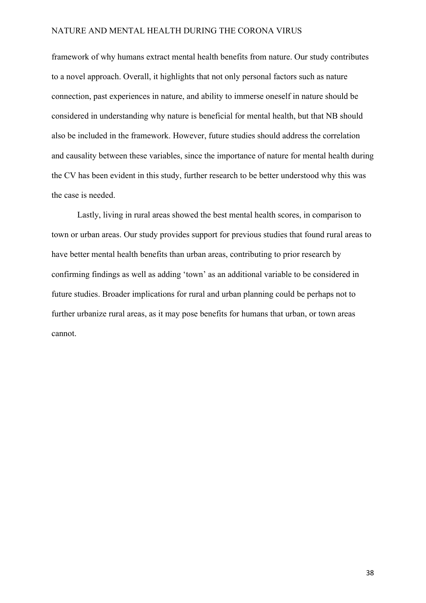framework of why humans extract mental health benefits from nature. Our study contributes to a novel approach. Overall, it highlights that not only personal factors such as nature connection, past experiences in nature, and ability to immerse oneself in nature should be considered in understanding why nature is beneficial for mental health, but that NB should also be included in the framework. However, future studies should address the correlation and causality between these variables, since the importance of nature for mental health during the CV has been evident in this study, further research to be better understood why this was the case is needed.

Lastly, living in rural areas showed the best mental health scores, in comparison to town or urban areas. Our study provides support for previous studies that found rural areas to have better mental health benefits than urban areas, contributing to prior research by confirming findings as well as adding 'town' as an additional variable to be considered in future studies. Broader implications for rural and urban planning could be perhaps not to further urbanize rural areas, as it may pose benefits for humans that urban, or town areas cannot.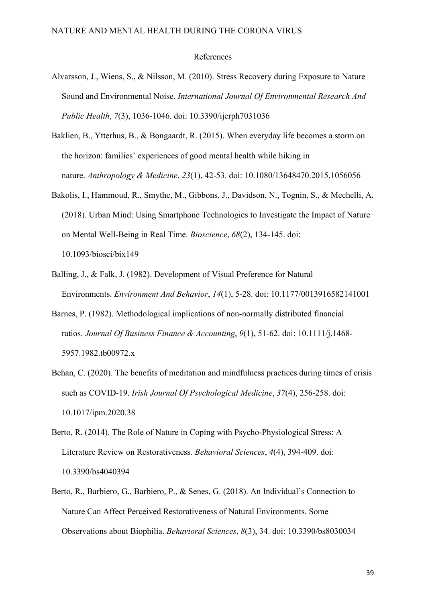#### References

- Alvarsson, J., Wiens, S., & Nilsson, M. (2010). Stress Recovery during Exposure to Nature Sound and Environmental Noise. *International Journal Of Environmental Research And Public Health*, *7*(3), 1036-1046. doi: 10.3390/ijerph7031036
- Baklien, B., Ytterhus, B., & Bongaardt, R. (2015). When everyday life becomes a storm on the horizon: families' experiences of good mental health while hiking in nature. *Anthropology & Medicine*, *23*(1), 42-53. doi: 10.1080/13648470.2015.1056056
- Bakolis, I., Hammoud, R., Smythe, M., Gibbons, J., Davidson, N., Tognin, S., & Mechelli, A. (2018). Urban Mind: Using Smartphone Technologies to Investigate the Impact of Nature on Mental Well-Being in Real Time. *Bioscience*, *68*(2), 134-145. doi: 10.1093/biosci/bix149
- Balling, J., & Falk, J. (1982). Development of Visual Preference for Natural Environments. *Environment And Behavior*, *14*(1), 5-28. doi: 10.1177/0013916582141001
- Barnes, P. (1982). Methodological implications of non-normally distributed financial ratios. *Journal Of Business Finance & Accounting*, *9*(1), 51-62. doi: 10.1111/j.1468- 5957.1982.tb00972.x
- Behan, C. (2020). The benefits of meditation and mindfulness practices during times of crisis such as COVID-19. *Irish Journal Of Psychological Medicine*, *37*(4), 256-258. doi: 10.1017/ipm.2020.38
- Berto, R. (2014). The Role of Nature in Coping with Psycho-Physiological Stress: A Literature Review on Restorativeness. *Behavioral Sciences*, *4*(4), 394-409. doi: 10.3390/bs4040394
- Berto, R., Barbiero, G., Barbiero, P., & Senes, G. (2018). An Individual's Connection to Nature Can Affect Perceived Restorativeness of Natural Environments. Some Observations about Biophilia. *Behavioral Sciences*, *8*(3), 34. doi: 10.3390/bs8030034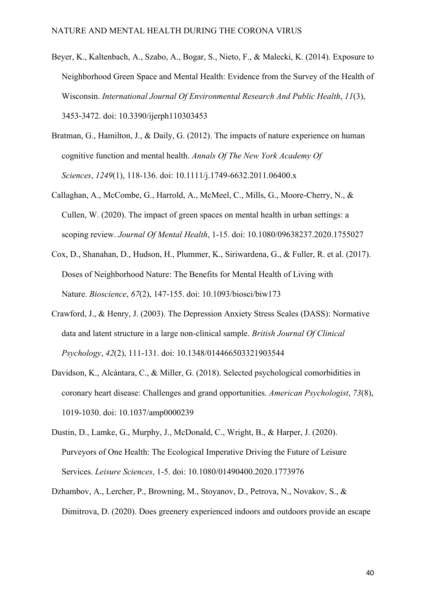- Beyer, K., Kaltenbach, A., Szabo, A., Bogar, S., Nieto, F., & Malecki, K. (2014). Exposure to Neighborhood Green Space and Mental Health: Evidence from the Survey of the Health of Wisconsin. *International Journal Of Environmental Research And Public Health*, *11*(3), 3453-3472. doi: 10.3390/ijerph110303453
- Bratman, G., Hamilton, J., & Daily, G. (2012). The impacts of nature experience on human cognitive function and mental health. *Annals Of The New York Academy Of Sciences*, *1249*(1), 118-136. doi: 10.1111/j.1749-6632.2011.06400.x
- Callaghan, A., McCombe, G., Harrold, A., McMeel, C., Mills, G., Moore-Cherry, N., & Cullen, W. (2020). The impact of green spaces on mental health in urban settings: a scoping review. *Journal Of Mental Health*, 1-15. doi: 10.1080/09638237.2020.1755027
- Cox, D., Shanahan, D., Hudson, H., Plummer, K., Siriwardena, G., & Fuller, R. et al. (2017). Doses of Neighborhood Nature: The Benefits for Mental Health of Living with Nature. *Bioscience*, *67*(2), 147-155. doi: 10.1093/biosci/biw173
- Crawford, J., & Henry, J. (2003). The Depression Anxiety Stress Scales (DASS): Normative data and latent structure in a large non-clinical sample. *British Journal Of Clinical Psychology*, *42*(2), 111-131. doi: 10.1348/014466503321903544
- Davidson, K., Alcántara, C., & Miller, G. (2018). Selected psychological comorbidities in coronary heart disease: Challenges and grand opportunities. *American Psychologist*, *73*(8), 1019-1030. doi: 10.1037/amp0000239
- Dustin, D., Lamke, G., Murphy, J., McDonald, C., Wright, B., & Harper, J. (2020). Purveyors of One Health: The Ecological Imperative Driving the Future of Leisure Services. *Leisure Sciences*, 1-5. doi: 10.1080/01490400.2020.1773976
- Dzhambov, A., Lercher, P., Browning, M., Stoyanov, D., Petrova, N., Novakov, S., & Dimitrova, D. (2020). Does greenery experienced indoors and outdoors provide an escape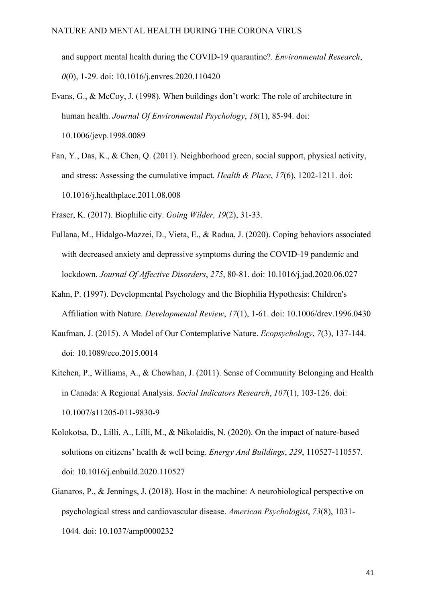and support mental health during the COVID-19 quarantine?. *Environmental Research*, *0*(0), 1-29. doi: 10.1016/j.envres.2020.110420

- Evans, G., & McCoy, J. (1998). When buildings don't work: The role of architecture in human health. *Journal Of Environmental Psychology*, *18*(1), 85-94. doi: 10.1006/jevp.1998.0089
- Fan, Y., Das, K., & Chen, Q. (2011). Neighborhood green, social support, physical activity, and stress: Assessing the cumulative impact. *Health & Place*, *17*(6), 1202-1211. doi: 10.1016/j.healthplace.2011.08.008

Fraser, K. (2017). Biophilic city. *Going Wilder, 19*(2), 31-33.

- Fullana, M., Hidalgo-Mazzei, D., Vieta, E., & Radua, J. (2020). Coping behaviors associated with decreased anxiety and depressive symptoms during the COVID-19 pandemic and lockdown. *Journal Of Affective Disorders*, *275*, 80-81. doi: 10.1016/j.jad.2020.06.027
- Kahn, P. (1997). Developmental Psychology and the Biophilia Hypothesis: Children's Affiliation with Nature. *Developmental Review*, *17*(1), 1-61. doi: 10.1006/drev.1996.0430
- Kaufman, J. (2015). A Model of Our Contemplative Nature. *Ecopsychology*, *7*(3), 137-144. doi: 10.1089/eco.2015.0014
- Kitchen, P., Williams, A., & Chowhan, J. (2011). Sense of Community Belonging and Health in Canada: A Regional Analysis. *Social Indicators Research*, *107*(1), 103-126. doi: 10.1007/s11205-011-9830-9
- Kolokotsa, D., Lilli, A., Lilli, M., & Nikolaidis, N. (2020). On the impact of nature-based solutions on citizens' health & well being. *Energy And Buildings*, *229*, 110527-110557. doi: 10.1016/j.enbuild.2020.110527
- Gianaros, P., & Jennings, J. (2018). Host in the machine: A neurobiological perspective on psychological stress and cardiovascular disease. *American Psychologist*, *73*(8), 1031- 1044. doi: 10.1037/amp0000232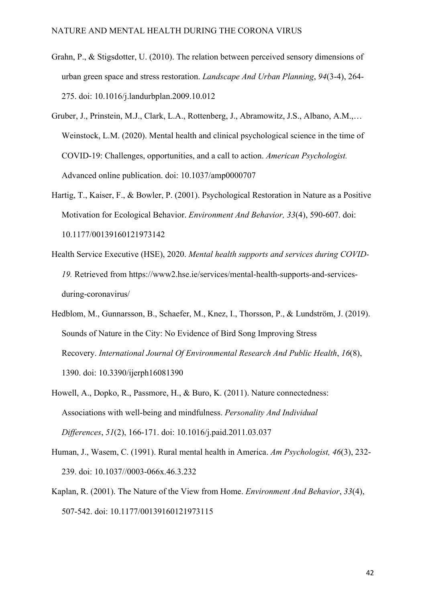- Grahn, P., & Stigsdotter, U. (2010). The relation between perceived sensory dimensions of urban green space and stress restoration. *Landscape And Urban Planning*, *94*(3-4), 264- 275. doi: 10.1016/j.landurbplan.2009.10.012
- Gruber, J., Prinstein, M.J., Clark, L.A., Rottenberg, J., Abramowitz, J.S., Albano, A.M.,… Weinstock, L.M. (2020). Mental health and clinical psychological science in the time of COVID-19: Challenges, opportunities, and a call to action. *American Psychologist.*  Advanced online publication. doi: 10.1037/amp0000707
- Hartig, T., Kaiser, F., & Bowler, P. (2001). Psychological Restoration in Nature as a Positive Motivation for Ecological Behavior. *Environment And Behavior, 33*(4), 590-607. doi: 10.1177/00139160121973142
- Health Service Executive (HSE), 2020. *Mental health supports and services during COVID-19.* Retrieved from https://www2.hse.ie/services/mental-health-supports-and-servicesduring-coronavirus/
- Hedblom, M., Gunnarsson, B., Schaefer, M., Knez, I., Thorsson, P., & Lundström, J. (2019). Sounds of Nature in the City: No Evidence of Bird Song Improving Stress Recovery. *International Journal Of Environmental Research And Public Health*, *16*(8), 1390. doi: 10.3390/ijerph16081390
- Howell, A., Dopko, R., Passmore, H., & Buro, K. (2011). Nature connectedness: Associations with well-being and mindfulness. *Personality And Individual Differences*, *51*(2), 166-171. doi: 10.1016/j.paid.2011.03.037
- Human, J., Wasem, C. (1991). Rural mental health in America. *Am Psychologist, 46*(3), 232- 239. doi: 10.1037//0003-066x.46.3.232
- Kaplan, R. (2001). The Nature of the View from Home. *Environment And Behavior*, *33*(4), 507-542. doi: 10.1177/00139160121973115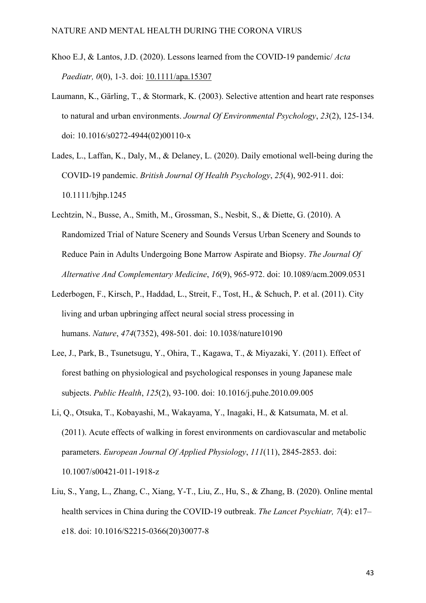- Khoo E.J, & Lantos, J.D. (2020). Lessons learned from the COVID-19 pandemic/ *Acta Paediatr, 0*(0), 1-3. doi: [10.1111/apa.15307](https://www.researchgate.net/deref/http%3A%2F%2Fdx.doi.org%2F10.1111%2Fapa.15307)
- Laumann, K., Gärling, T., & Stormark, K. (2003). Selective attention and heart rate responses to natural and urban environments. *Journal Of Environmental Psychology*, *23*(2), 125-134. doi: 10.1016/s0272-4944(02)00110-x
- Lades, L., Laffan, K., Daly, M., & Delaney, L. (2020). Daily emotional well-being during the COVID‐19 pandemic. *British Journal Of Health Psychology*, *25*(4), 902-911. doi: 10.1111/bjhp.1245
- Lechtzin, N., Busse, A., Smith, M., Grossman, S., Nesbit, S., & Diette, G. (2010). A Randomized Trial of Nature Scenery and Sounds Versus Urban Scenery and Sounds to Reduce Pain in Adults Undergoing Bone Marrow Aspirate and Biopsy. *The Journal Of Alternative And Complementary Medicine*, *16*(9), 965-972. doi: 10.1089/acm.2009.0531
- Lederbogen, F., Kirsch, P., Haddad, L., Streit, F., Tost, H., & Schuch, P. et al. (2011). City living and urban upbringing affect neural social stress processing in humans. *Nature*, *474*(7352), 498-501. doi: 10.1038/nature10190
- Lee, J., Park, B., Tsunetsugu, Y., Ohira, T., Kagawa, T., & Miyazaki, Y. (2011). Effect of forest bathing on physiological and psychological responses in young Japanese male subjects. *Public Health*, *125*(2), 93-100. doi: 10.1016/j.puhe.2010.09.005
- Li, Q., Otsuka, T., Kobayashi, M., Wakayama, Y., Inagaki, H., & Katsumata, M. et al. (2011). Acute effects of walking in forest environments on cardiovascular and metabolic parameters. *European Journal Of Applied Physiology*, *111*(11), 2845-2853. doi: 10.1007/s00421-011-1918-z
- Liu, S., Yang, L., Zhang, C., Xiang, Y-T., Liu, Z., Hu, S., & Zhang, B. (2020). Online mental health services in China during the COVID-19 outbreak. *The Lancet Psychiatr, 7*(4): e17– e18. doi: 10.1016/S2215-0366(20)30077-8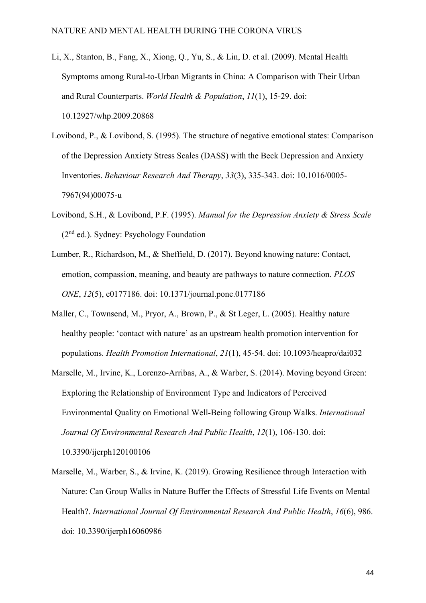- Li, X., Stanton, B., Fang, X., Xiong, Q., Yu, S., & Lin, D. et al. (2009). Mental Health Symptoms among Rural-to-Urban Migrants in China: A Comparison with Their Urban and Rural Counterparts. *World Health & Population*, *11*(1), 15-29. doi: 10.12927/whp.2009.20868
- Lovibond, P., & Lovibond, S. (1995). The structure of negative emotional states: Comparison of the Depression Anxiety Stress Scales (DASS) with the Beck Depression and Anxiety Inventories. *Behaviour Research And Therapy*, *33*(3), 335-343. doi: 10.1016/0005- 7967(94)00075-u
- Lovibond, S.H., & Lovibond, P.F. (1995). *Manual for the Depression Anxiety & Stress Scale*  (2nd ed.). Sydney: Psychology Foundation
- Lumber, R., Richardson, M., & Sheffield, D. (2017). Beyond knowing nature: Contact, emotion, compassion, meaning, and beauty are pathways to nature connection. *PLOS ONE*, *12*(5), e0177186. doi: 10.1371/journal.pone.0177186
- Maller, C., Townsend, M., Pryor, A., Brown, P., & St Leger, L. (2005). Healthy nature healthy people: 'contact with nature' as an upstream health promotion intervention for populations. *Health Promotion International*, *21*(1), 45-54. doi: 10.1093/heapro/dai032
- Marselle, M., Irvine, K., Lorenzo-Arribas, A., & Warber, S. (2014). Moving beyond Green: Exploring the Relationship of Environment Type and Indicators of Perceived Environmental Quality on Emotional Well-Being following Group Walks. *International Journal Of Environmental Research And Public Health*, *12*(1), 106-130. doi: 10.3390/ijerph120100106
- Marselle, M., Warber, S., & Irvine, K. (2019). Growing Resilience through Interaction with Nature: Can Group Walks in Nature Buffer the Effects of Stressful Life Events on Mental Health?. *International Journal Of Environmental Research And Public Health*, *16*(6), 986. doi: 10.3390/ijerph16060986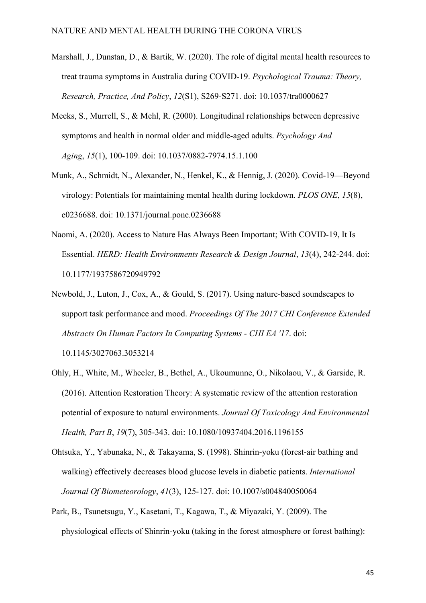- Marshall, J., Dunstan, D., & Bartik, W. (2020). The role of digital mental health resources to treat trauma symptoms in Australia during COVID-19. *Psychological Trauma: Theory, Research, Practice, And Policy*, *12*(S1), S269-S271. doi: 10.1037/tra0000627
- Meeks, S., Murrell, S., & Mehl, R. (2000). Longitudinal relationships between depressive symptoms and health in normal older and middle-aged adults. *Psychology And Aging*, *15*(1), 100-109. doi: 10.1037/0882-7974.15.1.100
- Munk, A., Schmidt, N., Alexander, N., Henkel, K., & Hennig, J. (2020). Covid-19—Beyond virology: Potentials for maintaining mental health during lockdown. *PLOS ONE*, *15*(8), e0236688. doi: 10.1371/journal.pone.0236688
- Naomi, A. (2020). Access to Nature Has Always Been Important; With COVID-19, It Is Essential. *HERD: Health Environments Research & Design Journal*, *13*(4), 242-244. doi: 10.1177/1937586720949792
- Newbold, J., Luton, J., Cox, A., & Gould, S. (2017). Using nature-based soundscapes to support task performance and mood. *Proceedings Of The 2017 CHI Conference Extended Abstracts On Human Factors In Computing Systems - CHI EA '17*. doi: 10.1145/3027063.3053214
- Ohly, H., White, M., Wheeler, B., Bethel, A., Ukoumunne, O., Nikolaou, V., & Garside, R. (2016). Attention Restoration Theory: A systematic review of the attention restoration potential of exposure to natural environments. *Journal Of Toxicology And Environmental Health, Part B*, *19*(7), 305-343. doi: 10.1080/10937404.2016.1196155
- Ohtsuka, Y., Yabunaka, N., & Takayama, S. (1998). Shinrin-yoku (forest-air bathing and walking) effectively decreases blood glucose levels in diabetic patients. *International Journal Of Biometeorology*, *41*(3), 125-127. doi: 10.1007/s004840050064
- Park, B., Tsunetsugu, Y., Kasetani, T., Kagawa, T., & Miyazaki, Y. (2009). The physiological effects of Shinrin-yoku (taking in the forest atmosphere or forest bathing):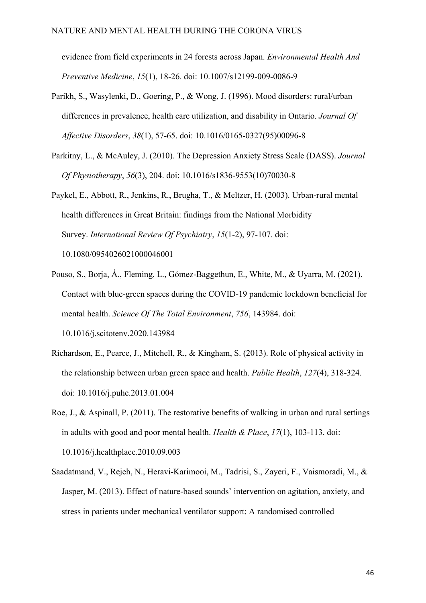evidence from field experiments in 24 forests across Japan. *Environmental Health And Preventive Medicine*, *15*(1), 18-26. doi: 10.1007/s12199-009-0086-9

- Parikh, S., Wasylenki, D., Goering, P., & Wong, J. (1996). Mood disorders: rural/urban differences in prevalence, health care utilization, and disability in Ontario. *Journal Of Affective Disorders*, *38*(1), 57-65. doi: 10.1016/0165-0327(95)00096-8
- Parkitny, L., & McAuley, J. (2010). The Depression Anxiety Stress Scale (DASS). *Journal Of Physiotherapy*, *56*(3), 204. doi: 10.1016/s1836-9553(10)70030-8
- Paykel, E., Abbott, R., Jenkins, R., Brugha, T., & Meltzer, H. (2003). Urban-rural mental health differences in Great Britain: findings from the National Morbidity Survey. *International Review Of Psychiatry*, *15*(1-2), 97-107. doi: 10.1080/0954026021000046001
- Pouso, S., Borja, Á., Fleming, L., Gómez-Baggethun, E., White, M., & Uyarra, M. (2021). Contact with blue-green spaces during the COVID-19 pandemic lockdown beneficial for mental health. *Science Of The Total Environment*, *756*, 143984. doi: 10.1016/j.scitotenv.2020.143984
- Richardson, E., Pearce, J., Mitchell, R., & Kingham, S. (2013). Role of physical activity in the relationship between urban green space and health. *Public Health*, *127*(4), 318-324. doi: 10.1016/j.puhe.2013.01.004
- Roe, J., & Aspinall, P. (2011). The restorative benefits of walking in urban and rural settings in adults with good and poor mental health. *Health & Place*, *17*(1), 103-113. doi: 10.1016/j.healthplace.2010.09.003
- Saadatmand, V., Rejeh, N., Heravi-Karimooi, M., Tadrisi, S., Zayeri, F., Vaismoradi, M., & Jasper, M. (2013). Effect of nature-based sounds' intervention on agitation, anxiety, and stress in patients under mechanical ventilator support: A randomised controlled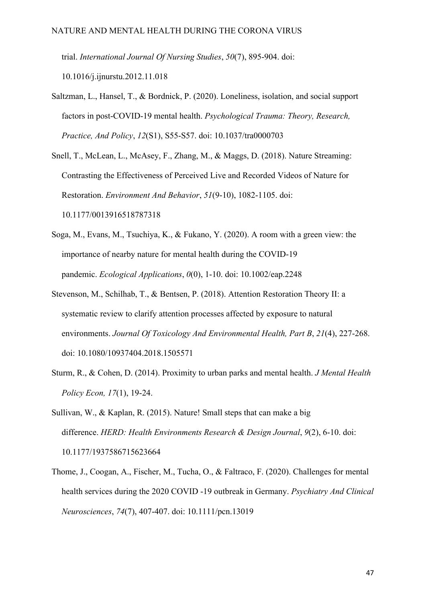trial. *International Journal Of Nursing Studies*, *50*(7), 895-904. doi: 10.1016/j.ijnurstu.2012.11.018

- Saltzman, L., Hansel, T., & Bordnick, P. (2020). Loneliness, isolation, and social support factors in post-COVID-19 mental health. *Psychological Trauma: Theory, Research, Practice, And Policy*, *12*(S1), S55-S57. doi: 10.1037/tra0000703
- Snell, T., McLean, L., McAsey, F., Zhang, M., & Maggs, D. (2018). Nature Streaming: Contrasting the Effectiveness of Perceived Live and Recorded Videos of Nature for Restoration. *Environment And Behavior*, *51*(9-10), 1082-1105. doi: 10.1177/0013916518787318
- Soga, M., Evans, M., Tsuchiya, K., & Fukano, Y. (2020). A room with a green view: the importance of nearby nature for mental health during the COVID‐19 pandemic. *Ecological Applications*, *0*(0), 1-10. doi: 10.1002/eap.2248
- Stevenson, M., Schilhab, T., & Bentsen, P. (2018). Attention Restoration Theory II: a systematic review to clarify attention processes affected by exposure to natural environments. *Journal Of Toxicology And Environmental Health, Part B*, *21*(4), 227-268. doi: 10.1080/10937404.2018.1505571
- Sturm, R., & Cohen, D. (2014). Proximity to urban parks and mental health. *J Mental Health Policy Econ, 17*(1), 19-24.
- Sullivan, W., & Kaplan, R. (2015). Nature! Small steps that can make a big difference. *HERD: Health Environments Research & Design Journal*, *9*(2), 6-10. doi: 10.1177/1937586715623664
- Thome, J., Coogan, A., Fischer, M., Tucha, O., & Faltraco, F. (2020). Challenges for mental health services during the 2020 COVID ‐19 outbreak in Germany. *Psychiatry And Clinical Neurosciences*, *74*(7), 407-407. doi: 10.1111/pcn.13019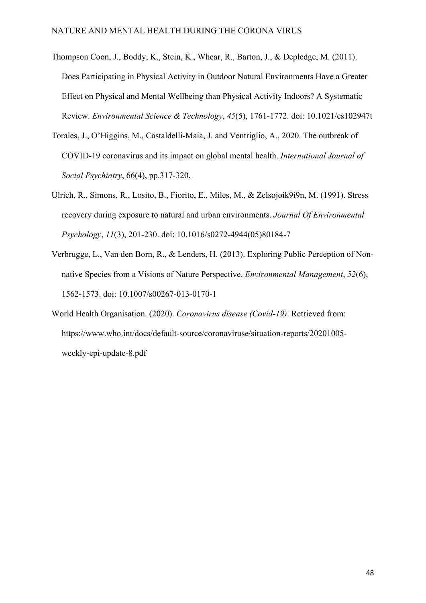- Thompson Coon, J., Boddy, K., Stein, K., Whear, R., Barton, J., & Depledge, M. (2011). Does Participating in Physical Activity in Outdoor Natural Environments Have a Greater Effect on Physical and Mental Wellbeing than Physical Activity Indoors? A Systematic Review. *Environmental Science & Technology*, *45*(5), 1761-1772. doi: 10.1021/es102947t
- Torales, J., O'Higgins, M., Castaldelli-Maia, J. and Ventriglio, A., 2020. The outbreak of COVID-19 coronavirus and its impact on global mental health. *International Journal of Social Psychiatry*, 66(4), pp.317-320.
- Ulrich, R., Simons, R., Losito, B., Fiorito, E., Miles, M., & Zelsojoik9i9n, M. (1991). Stress recovery during exposure to natural and urban environments. *Journal Of Environmental Psychology*, *11*(3), 201-230. doi: 10.1016/s0272-4944(05)80184-7
- Verbrugge, L., Van den Born, R., & Lenders, H. (2013). Exploring Public Perception of Nonnative Species from a Visions of Nature Perspective. *Environmental Management*, *52*(6), 1562-1573. doi: 10.1007/s00267-013-0170-1
- World Health Organisation. (2020). *Coronavirus disease (Covid-19)*. Retrieved from: https://www.who.int/docs/default-source/coronaviruse/situation-reports/20201005 weekly-epi-update-8.pdf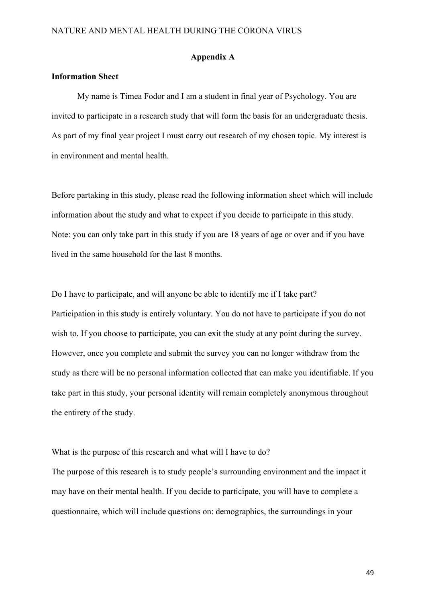#### **Appendix A**

#### **Information Sheet**

My name is Timea Fodor and I am a student in final year of Psychology. You are invited to participate in a research study that will form the basis for an undergraduate thesis. As part of my final year project I must carry out research of my chosen topic. My interest is in environment and mental health.

Before partaking in this study, please read the following information sheet which will include information about the study and what to expect if you decide to participate in this study. Note: you can only take part in this study if you are 18 years of age or over and if you have lived in the same household for the last 8 months.

Do I have to participate, and will anyone be able to identify me if I take part? Participation in this study is entirely voluntary. You do not have to participate if you do not wish to. If you choose to participate, you can exit the study at any point during the survey. However, once you complete and submit the survey you can no longer withdraw from the study as there will be no personal information collected that can make you identifiable. If you take part in this study, your personal identity will remain completely anonymous throughout the entirety of the study.

What is the purpose of this research and what will I have to do?

The purpose of this research is to study people's surrounding environment and the impact it may have on their mental health. If you decide to participate, you will have to complete a questionnaire, which will include questions on: demographics, the surroundings in your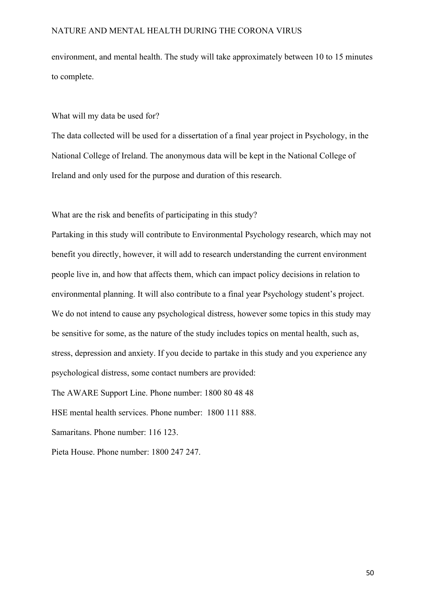environment, and mental health. The study will take approximately between 10 to 15 minutes to complete.

#### What will my data be used for?

The data collected will be used for a dissertation of a final year project in Psychology, in the National College of Ireland. The anonymous data will be kept in the National College of Ireland and only used for the purpose and duration of this research.

What are the risk and benefits of participating in this study?

Partaking in this study will contribute to Environmental Psychology research, which may not benefit you directly, however, it will add to research understanding the current environment people live in, and how that affects them, which can impact policy decisions in relation to environmental planning. It will also contribute to a final year Psychology student's project. We do not intend to cause any psychological distress, however some topics in this study may be sensitive for some, as the nature of the study includes topics on mental health, such as, stress, depression and anxiety. If you decide to partake in this study and you experience any psychological distress, some contact numbers are provided:

The AWARE Support Line. Phone number: 1800 80 48 48

HSE mental health services. Phone number: 1800 111 888.

Samaritans. Phone number: 116 123.

Pieta House. Phone number: 1800 247 247.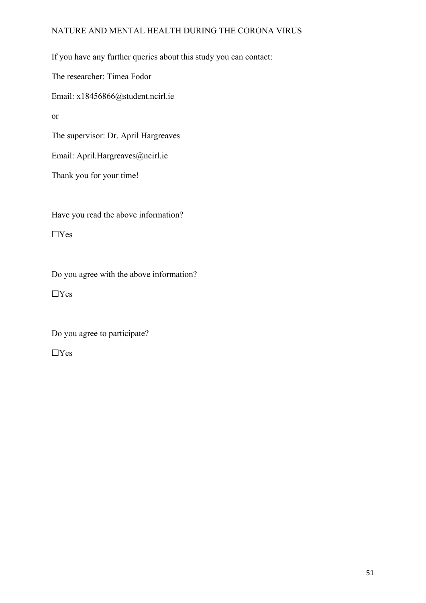If you have any further queries about this study you can contact: The researcher: Timea Fodor Email: x18456866@student.ncirl.ie or The supervisor: Dr. April Hargreaves Email: April.Hargreaves@ncirl.ie Thank you for your time!

Have you read the above information?

 $\Box$ Yes

Do you agree with the above information?

 $\Box$ Yes

Do you agree to participate?

 $\Box \mathrm{Yes}$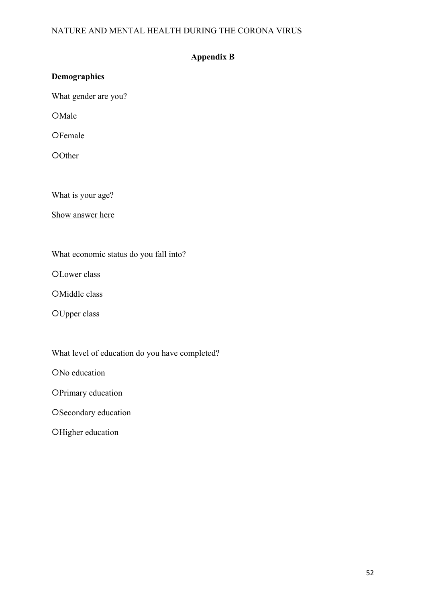## **Appendix B**

| <b>Demographics</b>  |  |
|----------------------|--|
| What gender are you? |  |
| OMale                |  |
| OFemale              |  |
| OOther               |  |
|                      |  |

What is your age?

Show answer here

What economic status do you fall into?

OLower class

OMiddle class

OUpper class

What level of education do you have completed?

ONo education

OPrimary education

OSecondary education

OHigher education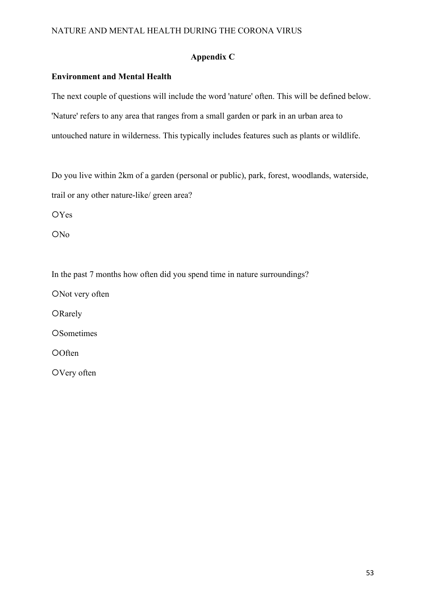## **Appendix C**

### **Environment and Mental Health**

The next couple of questions will include the word 'nature' often. This will be defined below. 'Nature' refers to any area that ranges from a small garden or park in an urban area to untouched nature in wilderness. This typically includes features such as plants or wildlife.

Do you live within 2km of a garden (personal or public), park, forest, woodlands, waterside, trail or any other nature-like/ green area?

OYes

ON<sub>o</sub>

In the past 7 months how often did you spend time in nature surroundings?

ONot very often

ORarely

**OSometimes** 

**O**Often

OVery often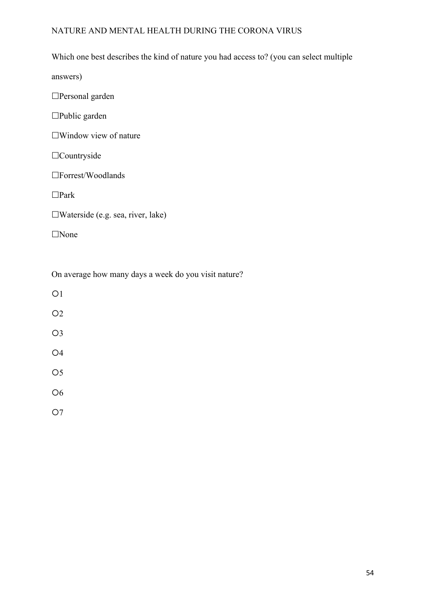## Which one best describes the kind of nature you had access to? (you can select multiple

answers)

Personal garden

Public garden

Window view of nature

Countryside

Forrest/Woodlands

Park

Waterside (e.g. sea, river, lake)

None

On average how many days a week do you visit nature?

 $O<sub>1</sub>$  $O<sub>2</sub>$ O3 O4 O<sub>5</sub> O<sub>6</sub> O7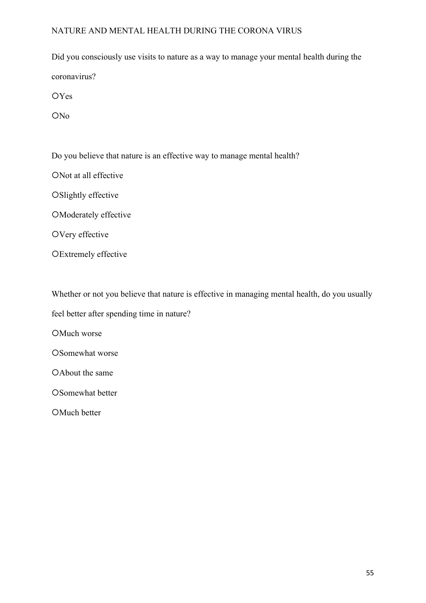Did you consciously use visits to nature as a way to manage your mental health during the coronavirus?

**OYes** 

ON<sub>o</sub>

Do you believe that nature is an effective way to manage mental health?

ONot at all effective

OSlightly effective

Moderately effective

OVery effective

OExtremely effective

Whether or not you believe that nature is effective in managing mental health, do you usually

feel better after spending time in nature?

OMuch worse

OSomewhat worse

OAbout the same

OSomewhat better

OMuch better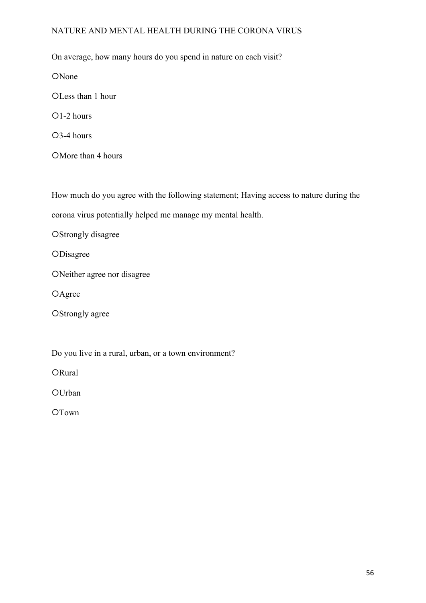On average, how many hours do you spend in nature on each visit?

ONone

OLess than 1 hour

 $O1-2$  hours

3-4 hours

OMore than 4 hours

How much do you agree with the following statement; Having access to nature during the corona virus potentially helped me manage my mental health.

OStrongly disagree

**OD**isagree

Neither agree nor disagree

OAgree

OStrongly agree

Do you live in a rural, urban, or a town environment?

ORural

**OUrban** 

OTown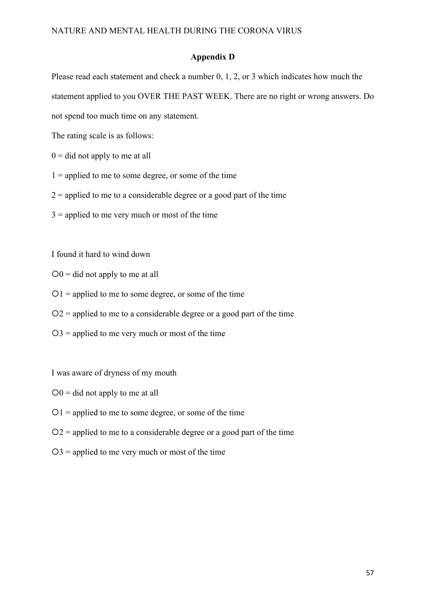#### **Appendix D**

Please read each statement and check a number 0, 1, 2, or 3 which indicates how much the statement applied to you OVER THE PAST WEEK. There are no right or wrong answers. Do not spend too much time on any statement.

The rating scale is as follows:

- $0 =$  did not apply to me at all
- $1 =$  applied to me to some degree, or some of the time
- $2$  = applied to me to a considerable degree or a good part of the time
- $3$  = applied to me very much or most of the time

I found it hard to wind down

- $O0 =$  did not apply to me at all
- $O1$  = applied to me to some degree, or some of the time
- $Q_2$  = applied to me to a considerable degree or a good part of the time
- $O3$  = applied to me very much or most of the time

I was aware of dryness of my mouth

- $O0 =$  did not apply to me at all
- $O1$  = applied to me to some degree, or some of the time
- $Q2$  = applied to me to a considerable degree or a good part of the time
- $O3$  = applied to me very much or most of the time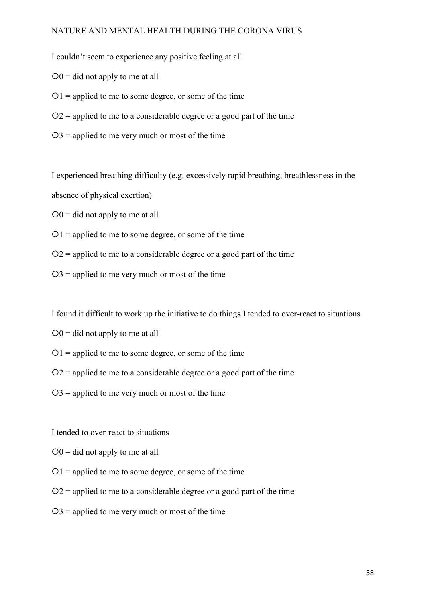I couldn't seem to experience any positive feeling at all

- $O0 =$  did not apply to me at all
- $01$  = applied to me to some degree, or some of the time
- $Q_2$  = applied to me to a considerable degree or a good part of the time
- $O3$  = applied to me very much or most of the time

I experienced breathing difficulty (e.g. excessively rapid breathing, breathlessness in the

absence of physical exertion)

 $O0$  = did not apply to me at all

- $O1$  = applied to me to some degree, or some of the time
- $Q2$  = applied to me to a considerable degree or a good part of the time
- $O3$  = applied to me very much or most of the time

I found it difficult to work up the initiative to do things I tended to over-react to situations

- $Q_0$  = did not apply to me at all
- $O1$  = applied to me to some degree, or some of the time
- $Q_2$  = applied to me to a considerable degree or a good part of the time
- $O3$  = applied to me very much or most of the time

I tended to over-react to situations

- $O0 =$  did not apply to me at all
- $01$  = applied to me to some degree, or some of the time
- $Q_2$  = applied to me to a considerable degree or a good part of the time
- $O3$  = applied to me very much or most of the time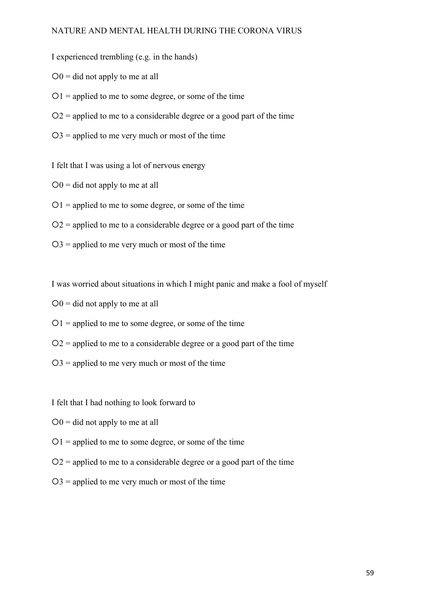I experienced trembling (e.g. in the hands)

- $Q_0$  = did not apply to me at all
- $01$  = applied to me to some degree, or some of the time
- $Q_2$  = applied to me to a considerable degree or a good part of the time
- $O3$  = applied to me very much or most of the time

I felt that I was using a lot of nervous energy

- $Q_0$  = did not apply to me at all
- $O1$  = applied to me to some degree, or some of the time
- $Q2$  = applied to me to a considerable degree or a good part of the time
- $O3$  = applied to me very much or most of the time

I was worried about situations in which I might panic and make a fool of myself

- $O0$  = did not apply to me at all
- $01$  = applied to me to some degree, or some of the time
- $Q2$  = applied to me to a considerable degree or a good part of the time
- $O3$  = applied to me very much or most of the time

I felt that I had nothing to look forward to

- $O0 =$  did not apply to me at all
- $01$  = applied to me to some degree, or some of the time
- $Q2$  = applied to me to a considerable degree or a good part of the time
- $O3$  = applied to me very much or most of the time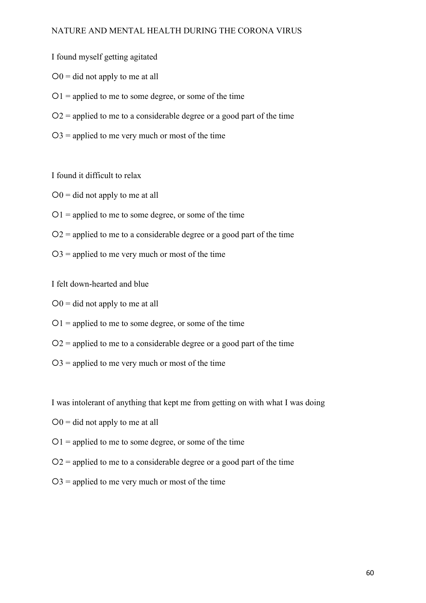I found myself getting agitated

- $O0 =$  did not apply to me at all
- $O1$  = applied to me to some degree, or some of the time
- $Q_2$  = applied to me to a considerable degree or a good part of the time
- $O3$  = applied to me very much or most of the time

I found it difficult to relax

- $O0 =$  did not apply to me at all
- $O1$  = applied to me to some degree, or some of the time
- $Q_2$  = applied to me to a considerable degree or a good part of the time
- $O3$  = applied to me very much or most of the time

I felt down-hearted and blue

- $O0$  = did not apply to me at all
- $01$  = applied to me to some degree, or some of the time
- $Q2$  = applied to me to a considerable degree or a good part of the time
- $O3$  = applied to me very much or most of the time

I was intolerant of anything that kept me from getting on with what I was doing

- $O0 =$  did not apply to me at all
- $01$  = applied to me to some degree, or some of the time
- $Q2$  = applied to me to a considerable degree or a good part of the time
- $O3$  = applied to me very much or most of the time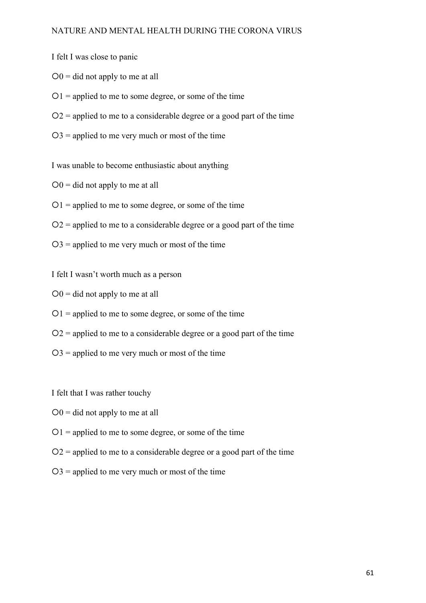I felt I was close to panic

- $O0 =$  did not apply to me at all
- $01$  = applied to me to some degree, or some of the time
- $Q_2$  = applied to me to a considerable degree or a good part of the time
- $O3$  = applied to me very much or most of the time

I was unable to become enthusiastic about anything

- $Q_0$  = did not apply to me at all
- $01$  = applied to me to some degree, or some of the time
- $Q_2$  = applied to me to a considerable degree or a good part of the time
- $O3$  = applied to me very much or most of the time
- I felt I wasn't worth much as a person
- $O0$  = did not apply to me at all
- $O1$  = applied to me to some degree, or some of the time
- $Q_2$  = applied to me to a considerable degree or a good part of the time
- $O3$  = applied to me very much or most of the time

I felt that I was rather touchy

- $O0$  = did not apply to me at all
- $O1$  = applied to me to some degree, or some of the time
- $Q2$  = applied to me to a considerable degree or a good part of the time
- $O3$  = applied to me very much or most of the time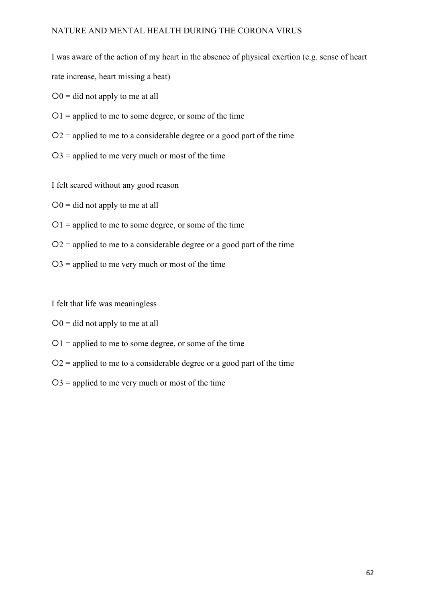I was aware of the action of my heart in the absence of physical exertion (e.g. sense of heart rate increase, heart missing a beat)

- $O0 =$  did not apply to me at all
- $O1$  = applied to me to some degree, or some of the time
- $Q2$  = applied to me to a considerable degree or a good part of the time
- $O3$  = applied to me very much or most of the time

I felt scared without any good reason

- $O0 =$  did not apply to me at all
- $O1$  = applied to me to some degree, or some of the time
- $Q2$  = applied to me to a considerable degree or a good part of the time
- $O3$  = applied to me very much or most of the time

I felt that life was meaningless

- $O0 =$  did not apply to me at all
- $O1$  = applied to me to some degree, or some of the time
- $Q2$  = applied to me to a considerable degree or a good part of the time
- $O3$  = applied to me very much or most of the time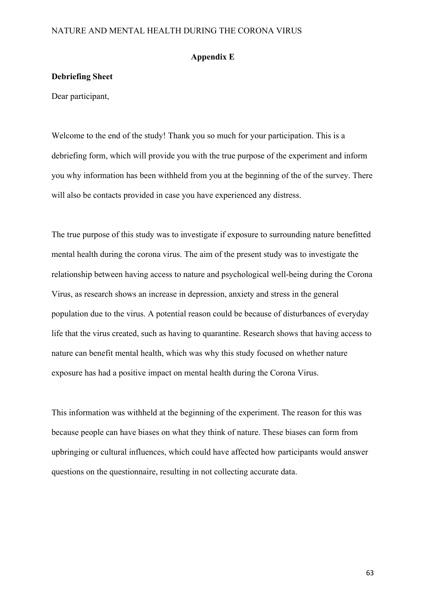#### **Appendix E**

#### **Debriefing Sheet**

Dear participant,

Welcome to the end of the study! Thank you so much for your participation. This is a debriefing form, which will provide you with the true purpose of the experiment and inform you why information has been withheld from you at the beginning of the of the survey. There will also be contacts provided in case you have experienced any distress.

The true purpose of this study was to investigate if exposure to surrounding nature benefitted mental health during the corona virus. The aim of the present study was to investigate the relationship between having access to nature and psychological well-being during the Corona Virus, as research shows an increase in depression, anxiety and stress in the general population due to the virus. A potential reason could be because of disturbances of everyday life that the virus created, such as having to quarantine. Research shows that having access to nature can benefit mental health, which was why this study focused on whether nature exposure has had a positive impact on mental health during the Corona Virus.

This information was withheld at the beginning of the experiment. The reason for this was because people can have biases on what they think of nature. These biases can form from upbringing or cultural influences, which could have affected how participants would answer questions on the questionnaire, resulting in not collecting accurate data.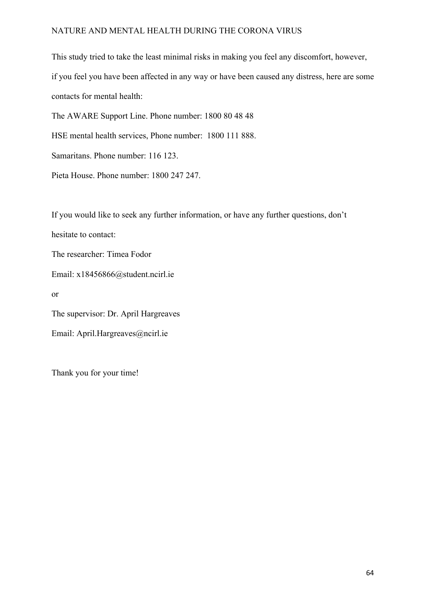This study tried to take the least minimal risks in making you feel any discomfort, however, if you feel you have been affected in any way or have been caused any distress, here are some contacts for mental health: The AWARE Support Line. Phone number: 1800 80 48 48

HSE mental health services, Phone number: 1800 111 888.

Samaritans. Phone number: 116 123.

Pieta House. Phone number: 1800 247 247.

If you would like to seek any further information, or have any further questions, don't

hesitate to contact:

The researcher: Timea Fodor

Email: x18456866@student.ncirl.ie

or

The supervisor: Dr. April Hargreaves

Email: April.Hargreaves@ncirl.ie

Thank you for your time!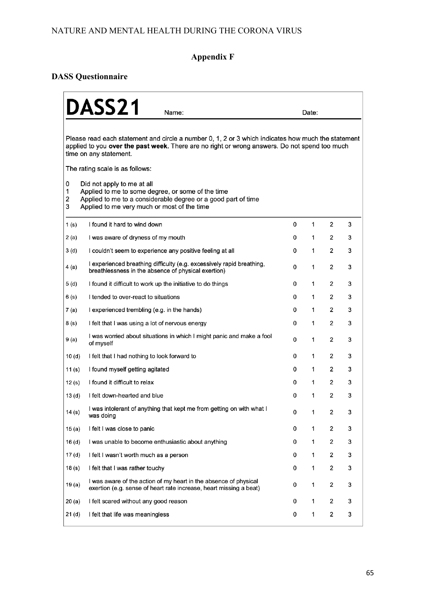# **Appendix F**

## **DASS Questionnaire**

|                   | <b>DASS21</b>                                                                                                                                                                                                                                                    |   |             |                |   |  |  |  |
|-------------------|------------------------------------------------------------------------------------------------------------------------------------------------------------------------------------------------------------------------------------------------------------------|---|-------------|----------------|---|--|--|--|
|                   | Name:                                                                                                                                                                                                                                                            |   | Date:       |                |   |  |  |  |
|                   | Please read each statement and circle a number 0, 1, 2 or 3 which indicates how much the statement<br>applied to you over the past week. There are no right or wrong answers. Do not spend too much<br>time on any statement.<br>The rating scale is as follows: |   |             |                |   |  |  |  |
|                   |                                                                                                                                                                                                                                                                  |   |             |                |   |  |  |  |
| 0<br>1<br>2<br>3  | Did not apply to me at all<br>Applied to me to some degree, or some of the time<br>Applied to me to a considerable degree or a good part of time<br>Applied to me very much or most of the time                                                                  |   |             |                |   |  |  |  |
| 1(s)              | I found it hard to wind down                                                                                                                                                                                                                                     | 0 | 1           | 2              | 3 |  |  |  |
| 2 (a)             | I was aware of dryness of my mouth                                                                                                                                                                                                                               | 0 | 1           | 2              | 3 |  |  |  |
| 3(d)              | I couldn't seem to experience any positive feeling at all                                                                                                                                                                                                        | 0 | 1           | 2              | 3 |  |  |  |
| 4 (a)             | I experienced breathing difficulty (e.g. excessively rapid breathing,<br>breathlessness in the absence of physical exertion)                                                                                                                                     | 0 | 1           | 2              | 3 |  |  |  |
| 5(d)              | I found it difficult to work up the initiative to do things                                                                                                                                                                                                      | 0 | 1           | 2              | 3 |  |  |  |
| 6 (s)             | I tended to over-react to situations                                                                                                                                                                                                                             | 0 | 1           | 2              | 3 |  |  |  |
| 7 (a)             | I experienced trembling (e.g. in the hands)                                                                                                                                                                                                                      | 0 | 1           | 2              | 3 |  |  |  |
| 8 (s)             | I felt that I was using a lot of nervous energy                                                                                                                                                                                                                  | 0 | 1           | 2              | 3 |  |  |  |
| 9 (a)             | I was worried about situations in which I might panic and make a fool<br>of myself                                                                                                                                                                               | 0 | 1           | 2              | 3 |  |  |  |
| 10 (d)            | I felt that I had nothing to look forward to                                                                                                                                                                                                                     | 0 | 1           | 2              | 3 |  |  |  |
| 11 (s)            | I found myself getting agitated                                                                                                                                                                                                                                  | 0 | 1           | 2              | 3 |  |  |  |
| 12(s)             | I found it difficult to relax                                                                                                                                                                                                                                    | 0 | 1           | 2              | 3 |  |  |  |
| 13 <sub>(d)</sub> | I felt down-hearted and blue                                                                                                                                                                                                                                     | 0 | 1           | 2              | 3 |  |  |  |
| 14(s)             | I was intolerant of anything that kept me from getting on with what I<br>was doing                                                                                                                                                                               | 0 | 1           | 2              | 3 |  |  |  |
| 15(a)             | I felt I was close to panic                                                                                                                                                                                                                                      | 0 | 1           | 2              | 3 |  |  |  |
| 16 <sub>(d)</sub> | I was unable to become enthusiastic about anything                                                                                                                                                                                                               | 0 | 1           | 2              | 3 |  |  |  |
| 17 (d)            | I felt I wasn't worth much as a person                                                                                                                                                                                                                           | 0 | 1           | $\overline{2}$ | 3 |  |  |  |
| 18(s)             | I felt that I was rather touchy                                                                                                                                                                                                                                  | 0 | 1           | 2              | 3 |  |  |  |
| 19(a)             | I was aware of the action of my heart in the absence of physical<br>exertion (e.g. sense of heart rate increase, heart missing a beat)                                                                                                                           | 0 | 1           | 2              | 3 |  |  |  |
| 20(a)             | I felt scared without any good reason                                                                                                                                                                                                                            | 0 | 1           | 2              | 3 |  |  |  |
| 21 <sub>(d)</sub> | I felt that life was meaningless                                                                                                                                                                                                                                 | 0 | $\mathbf 1$ | 2              | 3 |  |  |  |